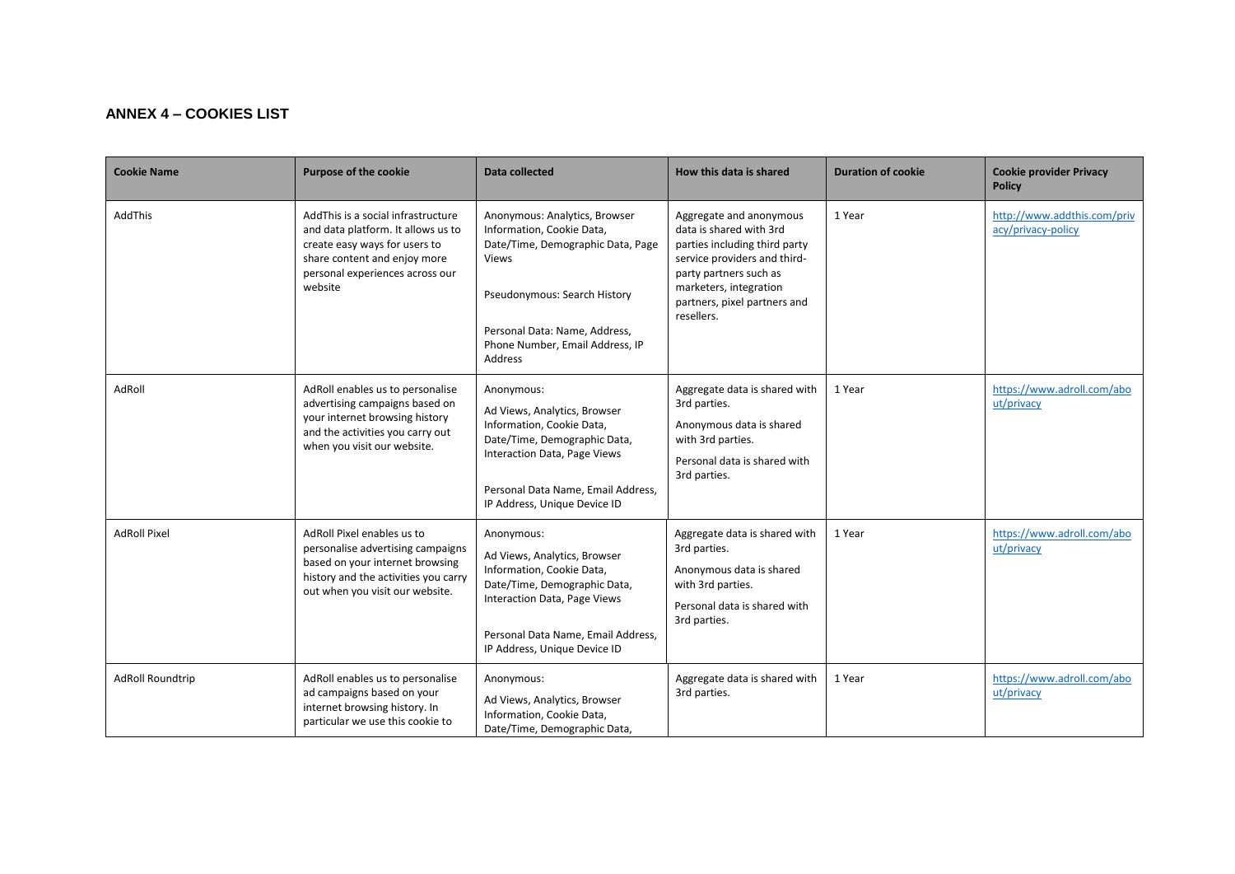## **ANNEX 4 – COOKIES LIST**

| <b>Cookie Name</b>      | <b>Purpose of the cookie</b>                                                                                                                                                             | Data collected                                                                                                                                                                                                                 | How this data is shared                                                                                                                                                                                               | <b>Duration of cookie</b> | <b>Cookie provider Privacy</b><br><b>Policy</b>   |
|-------------------------|------------------------------------------------------------------------------------------------------------------------------------------------------------------------------------------|--------------------------------------------------------------------------------------------------------------------------------------------------------------------------------------------------------------------------------|-----------------------------------------------------------------------------------------------------------------------------------------------------------------------------------------------------------------------|---------------------------|---------------------------------------------------|
| AddThis                 | Add This is a social infrastructure<br>and data platform. It allows us to<br>create easy ways for users to<br>share content and enjoy more<br>personal experiences across our<br>website | Anonymous: Analytics, Browser<br>Information, Cookie Data,<br>Date/Time, Demographic Data, Page<br><b>Views</b><br>Pseudonymous: Search History<br>Personal Data: Name, Address,<br>Phone Number, Email Address, IP<br>Address | Aggregate and anonymous<br>data is shared with 3rd<br>parties including third party<br>service providers and third-<br>party partners such as<br>marketers, integration<br>partners, pixel partners and<br>resellers. | 1 Year                    | http://www.addthis.com/priv<br>acy/privacy-policy |
| AdRoll                  | AdRoll enables us to personalise<br>advertising campaigns based on<br>your internet browsing history<br>and the activities you carry out<br>when you visit our website.                  | Anonymous:<br>Ad Views, Analytics, Browser<br>Information, Cookie Data,<br>Date/Time, Demographic Data,<br>Interaction Data, Page Views<br>Personal Data Name, Email Address,<br>IP Address, Unique Device ID                  | Aggregate data is shared with<br>3rd parties.<br>Anonymous data is shared<br>with 3rd parties.<br>Personal data is shared with<br>3rd parties.                                                                        | 1 Year                    | https://www.adroll.com/abo<br>ut/privacy          |
| <b>AdRoll Pixel</b>     | AdRoll Pixel enables us to<br>personalise advertising campaigns<br>based on your internet browsing<br>history and the activities you carry<br>out when you visit our website.            | Anonymous:<br>Ad Views, Analytics, Browser<br>Information, Cookie Data,<br>Date/Time, Demographic Data,<br>Interaction Data, Page Views<br>Personal Data Name, Email Address,<br>IP Address, Unique Device ID                  | Aggregate data is shared with<br>3rd parties.<br>Anonymous data is shared<br>with 3rd parties.<br>Personal data is shared with<br>3rd parties.                                                                        | 1 Year                    | https://www.adroll.com/abo<br>ut/privacy          |
| <b>AdRoll Roundtrip</b> | AdRoll enables us to personalise<br>ad campaigns based on your<br>internet browsing history. In<br>particular we use this cookie to                                                      | Anonymous:<br>Ad Views, Analytics, Browser<br>Information, Cookie Data,<br>Date/Time, Demographic Data,                                                                                                                        | Aggregate data is shared with<br>3rd parties.                                                                                                                                                                         | 1 Year                    | https://www.adroll.com/abo<br>ut/privacy          |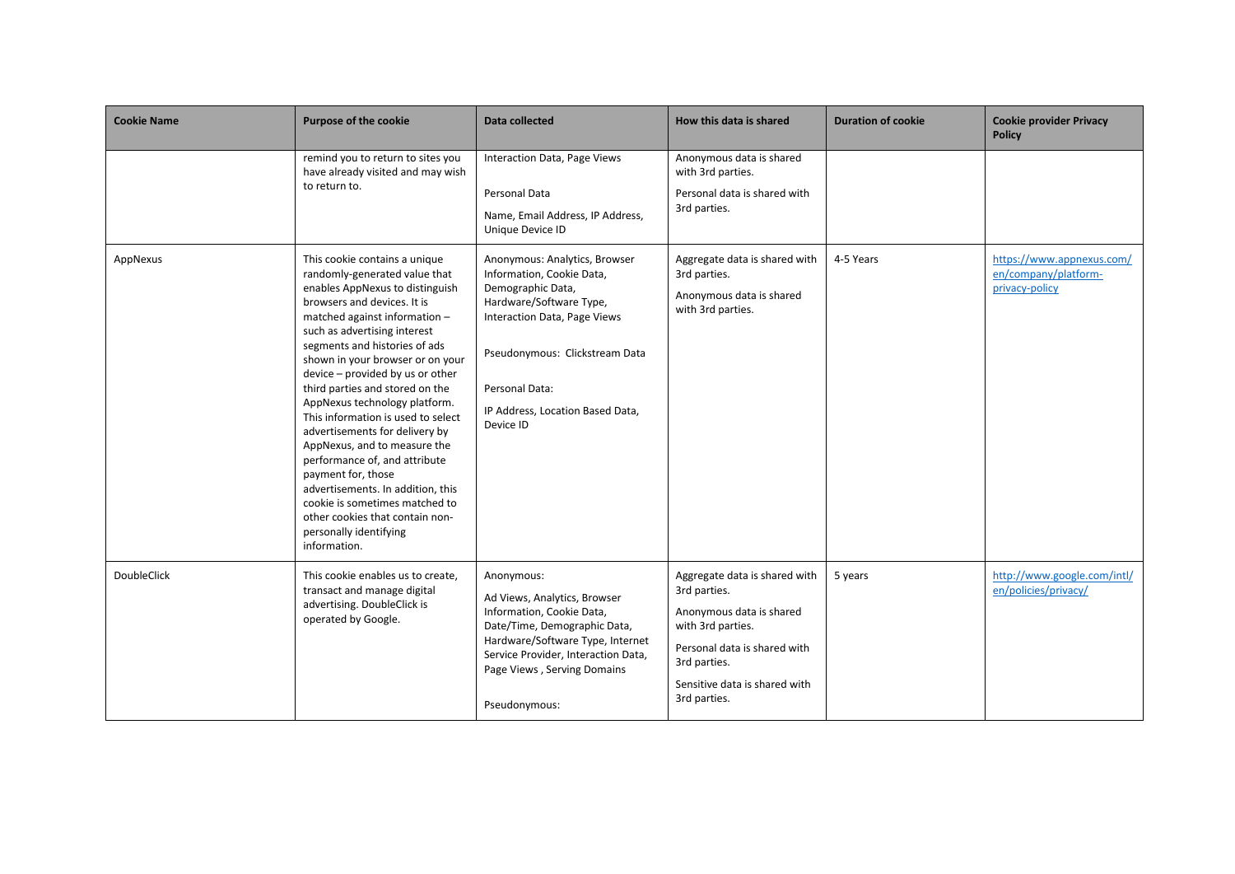| <b>Cookie Name</b> | <b>Purpose of the cookie</b>                                                                                                                                                                                                                                                                                                                                                                                                                                                                                                                                                                                       | Data collected                                                                                                                                                                                                                                                                                                                                           | How this data is shared                                                                                                                                                                         | <b>Duration of cookie</b> | <b>Cookie provider Privacy</b><br><b>Policy</b>                     |
|--------------------|--------------------------------------------------------------------------------------------------------------------------------------------------------------------------------------------------------------------------------------------------------------------------------------------------------------------------------------------------------------------------------------------------------------------------------------------------------------------------------------------------------------------------------------------------------------------------------------------------------------------|----------------------------------------------------------------------------------------------------------------------------------------------------------------------------------------------------------------------------------------------------------------------------------------------------------------------------------------------------------|-------------------------------------------------------------------------------------------------------------------------------------------------------------------------------------------------|---------------------------|---------------------------------------------------------------------|
| AppNexus           | remind you to return to sites you<br>have already visited and may wish<br>to return to.<br>This cookie contains a unique<br>randomly-generated value that<br>enables AppNexus to distinguish<br>browsers and devices. It is<br>matched against information -<br>such as advertising interest<br>segments and histories of ads<br>shown in your browser or on your<br>device - provided by us or other<br>third parties and stored on the<br>AppNexus technology platform.<br>This information is used to select<br>advertisements for delivery by<br>AppNexus, and to measure the<br>performance of, and attribute | Interaction Data, Page Views<br>Personal Data<br>Name, Email Address, IP Address,<br>Unique Device ID<br>Anonymous: Analytics, Browser<br>Information, Cookie Data,<br>Demographic Data,<br>Hardware/Software Type,<br>Interaction Data, Page Views<br>Pseudonymous: Clickstream Data<br>Personal Data:<br>IP Address, Location Based Data,<br>Device ID | Anonymous data is shared<br>with 3rd parties.<br>Personal data is shared with<br>3rd parties.<br>Aggregate data is shared with<br>3rd parties.<br>Anonymous data is shared<br>with 3rd parties. | 4-5 Years                 | https://www.appnexus.com/<br>en/company/platform-<br>privacy-policy |
|                    | payment for, those<br>advertisements. In addition, this<br>cookie is sometimes matched to<br>other cookies that contain non-<br>personally identifying<br>information.                                                                                                                                                                                                                                                                                                                                                                                                                                             |                                                                                                                                                                                                                                                                                                                                                          |                                                                                                                                                                                                 |                           |                                                                     |
| DoubleClick        | This cookie enables us to create,<br>transact and manage digital<br>advertising. DoubleClick is<br>operated by Google.                                                                                                                                                                                                                                                                                                                                                                                                                                                                                             | Anonymous:<br>Ad Views, Analytics, Browser<br>Information, Cookie Data,<br>Date/Time, Demographic Data,<br>Hardware/Software Type, Internet<br>Service Provider, Interaction Data,<br>Page Views, Serving Domains<br>Pseudonymous:                                                                                                                       | Aggregate data is shared with<br>3rd parties.<br>Anonymous data is shared<br>with 3rd parties.<br>Personal data is shared with<br>3rd parties.<br>Sensitive data is shared with<br>3rd parties. | 5 years                   | http://www.google.com/intl/<br>en/policies/privacy/                 |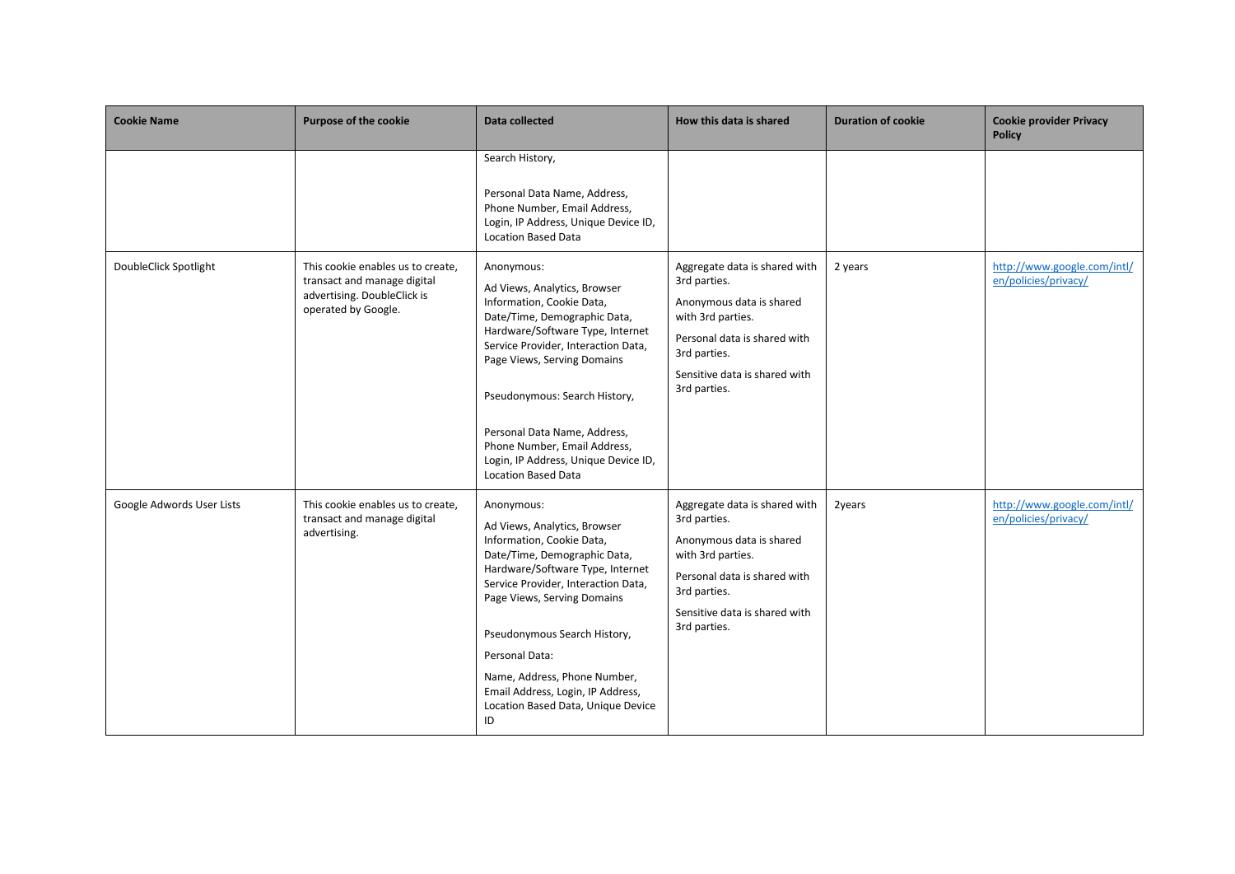| <b>Cookie Name</b>        | <b>Purpose of the cookie</b>                                                                                           | <b>Data collected</b>                                                                                                                                                                                                                                                                                                                                                                    | How this data is shared                                                                                                                                                                         | <b>Duration of cookie</b> | <b>Cookie provider Privacy</b><br><b>Policy</b>     |
|---------------------------|------------------------------------------------------------------------------------------------------------------------|------------------------------------------------------------------------------------------------------------------------------------------------------------------------------------------------------------------------------------------------------------------------------------------------------------------------------------------------------------------------------------------|-------------------------------------------------------------------------------------------------------------------------------------------------------------------------------------------------|---------------------------|-----------------------------------------------------|
|                           |                                                                                                                        | Search History,<br>Personal Data Name, Address,<br>Phone Number, Email Address,<br>Login, IP Address, Unique Device ID,<br><b>Location Based Data</b>                                                                                                                                                                                                                                    |                                                                                                                                                                                                 |                           |                                                     |
| DoubleClick Spotlight     | This cookie enables us to create,<br>transact and manage digital<br>advertising. DoubleClick is<br>operated by Google. | Anonymous:<br>Ad Views, Analytics, Browser<br>Information, Cookie Data,<br>Date/Time, Demographic Data,<br>Hardware/Software Type, Internet<br>Service Provider, Interaction Data,<br>Page Views, Serving Domains<br>Pseudonymous: Search History,<br>Personal Data Name, Address,<br>Phone Number, Email Address,<br>Login, IP Address, Unique Device ID,<br><b>Location Based Data</b> | Aggregate data is shared with<br>3rd parties.<br>Anonymous data is shared<br>with 3rd parties.<br>Personal data is shared with<br>3rd parties.<br>Sensitive data is shared with<br>3rd parties. | 2 years                   | http://www.google.com/intl/<br>en/policies/privacy/ |
| Google Adwords User Lists | This cookie enables us to create,<br>transact and manage digital<br>advertising.                                       | Anonymous:<br>Ad Views, Analytics, Browser<br>Information, Cookie Data,<br>Date/Time, Demographic Data,<br>Hardware/Software Type, Internet<br>Service Provider, Interaction Data,<br>Page Views, Serving Domains<br>Pseudonymous Search History,<br>Personal Data:<br>Name, Address, Phone Number,<br>Email Address, Login, IP Address,<br>Location Based Data, Unique Device<br>ID     | Aggregate data is shared with<br>3rd parties.<br>Anonymous data is shared<br>with 3rd parties.<br>Personal data is shared with<br>3rd parties.<br>Sensitive data is shared with<br>3rd parties. | 2years                    | http://www.google.com/intl/<br>en/policies/privacy/ |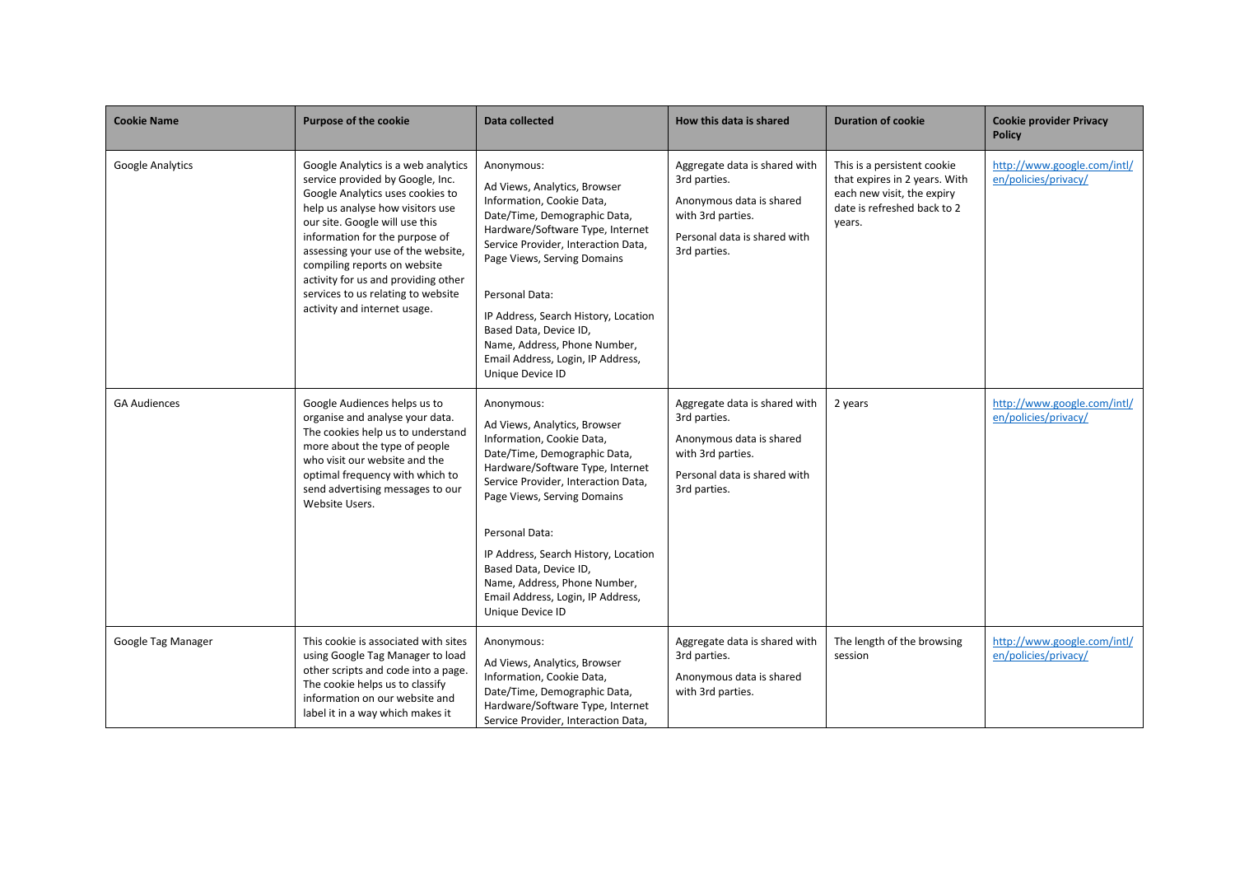| <b>Cookie Name</b>      | <b>Purpose of the cookie</b>                                                                                                                                                                                                                                                                                                                                                                           | <b>Data collected</b>                                                                                                                                                                                                                                                                                                                                                                          | How this data is shared                                                                                                                        | <b>Duration of cookie</b>                                                                                                           | <b>Cookie provider Privacy</b><br><b>Policy</b>     |
|-------------------------|--------------------------------------------------------------------------------------------------------------------------------------------------------------------------------------------------------------------------------------------------------------------------------------------------------------------------------------------------------------------------------------------------------|------------------------------------------------------------------------------------------------------------------------------------------------------------------------------------------------------------------------------------------------------------------------------------------------------------------------------------------------------------------------------------------------|------------------------------------------------------------------------------------------------------------------------------------------------|-------------------------------------------------------------------------------------------------------------------------------------|-----------------------------------------------------|
| <b>Google Analytics</b> | Google Analytics is a web analytics<br>service provided by Google, Inc.<br>Google Analytics uses cookies to<br>help us analyse how visitors use<br>our site. Google will use this<br>information for the purpose of<br>assessing your use of the website,<br>compiling reports on website<br>activity for us and providing other<br>services to us relating to website<br>activity and internet usage. | Anonymous:<br>Ad Views, Analytics, Browser<br>Information, Cookie Data,<br>Date/Time, Demographic Data,<br>Hardware/Software Type, Internet<br>Service Provider, Interaction Data,<br>Page Views, Serving Domains<br>Personal Data:<br>IP Address, Search History, Location<br>Based Data, Device ID,<br>Name, Address, Phone Number,<br>Email Address, Login, IP Address,<br>Unique Device ID | Aggregate data is shared with<br>3rd parties.<br>Anonymous data is shared<br>with 3rd parties.<br>Personal data is shared with<br>3rd parties. | This is a persistent cookie<br>that expires in 2 years. With<br>each new visit, the expiry<br>date is refreshed back to 2<br>years. | http://www.google.com/intl/<br>en/policies/privacy/ |
| <b>GA Audiences</b>     | Google Audiences helps us to<br>organise and analyse your data.<br>The cookies help us to understand<br>more about the type of people<br>who visit our website and the<br>optimal frequency with which to<br>send advertising messages to our<br>Website Users.                                                                                                                                        | Anonymous:<br>Ad Views, Analytics, Browser<br>Information, Cookie Data,<br>Date/Time, Demographic Data,<br>Hardware/Software Type, Internet<br>Service Provider, Interaction Data,<br>Page Views, Serving Domains<br>Personal Data:<br>IP Address, Search History, Location<br>Based Data, Device ID,<br>Name, Address, Phone Number,<br>Email Address, Login, IP Address,<br>Unique Device ID | Aggregate data is shared with<br>3rd parties.<br>Anonymous data is shared<br>with 3rd parties.<br>Personal data is shared with<br>3rd parties. | 2 years                                                                                                                             | http://www.google.com/intl/<br>en/policies/privacy/ |
| Google Tag Manager      | This cookie is associated with sites<br>using Google Tag Manager to load<br>other scripts and code into a page.<br>The cookie helps us to classify<br>information on our website and<br>label it in a way which makes it                                                                                                                                                                               | Anonymous:<br>Ad Views, Analytics, Browser<br>Information, Cookie Data,<br>Date/Time, Demographic Data,<br>Hardware/Software Type, Internet<br>Service Provider, Interaction Data,                                                                                                                                                                                                             | Aggregate data is shared with<br>3rd parties.<br>Anonymous data is shared<br>with 3rd parties.                                                 | The length of the browsing<br>session                                                                                               | http://www.google.com/intl/<br>en/policies/privacy/ |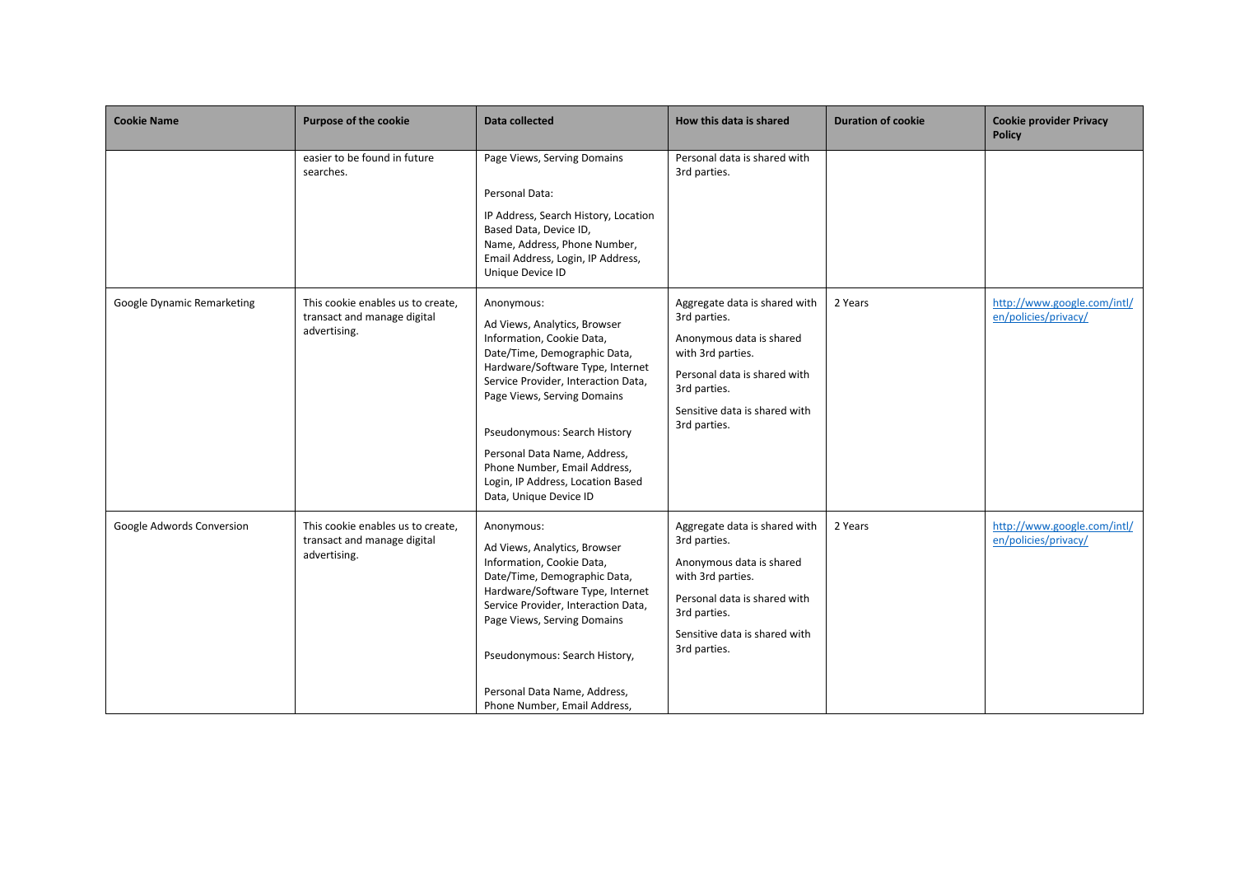| <b>Cookie Name</b>         | <b>Purpose of the cookie</b>                                                     | Data collected                                                                                                                                                                                                                                                                                                                                                                   | How this data is shared                                                                                                                                                                         | <b>Duration of cookie</b> | <b>Cookie provider Privacy</b><br><b>Policy</b>     |
|----------------------------|----------------------------------------------------------------------------------|----------------------------------------------------------------------------------------------------------------------------------------------------------------------------------------------------------------------------------------------------------------------------------------------------------------------------------------------------------------------------------|-------------------------------------------------------------------------------------------------------------------------------------------------------------------------------------------------|---------------------------|-----------------------------------------------------|
|                            | easier to be found in future<br>searches.                                        | Page Views, Serving Domains<br>Personal Data:<br>IP Address, Search History, Location<br>Based Data, Device ID,<br>Name, Address, Phone Number,<br>Email Address, Login, IP Address,<br>Unique Device ID                                                                                                                                                                         | Personal data is shared with<br>3rd parties.                                                                                                                                                    |                           |                                                     |
| Google Dynamic Remarketing | This cookie enables us to create,<br>transact and manage digital<br>advertising. | Anonymous:<br>Ad Views, Analytics, Browser<br>Information, Cookie Data,<br>Date/Time, Demographic Data,<br>Hardware/Software Type, Internet<br>Service Provider, Interaction Data,<br>Page Views, Serving Domains<br>Pseudonymous: Search History<br>Personal Data Name, Address,<br>Phone Number, Email Address,<br>Login, IP Address, Location Based<br>Data, Unique Device ID | Aggregate data is shared with<br>3rd parties.<br>Anonymous data is shared<br>with 3rd parties.<br>Personal data is shared with<br>3rd parties.<br>Sensitive data is shared with<br>3rd parties. | 2 Years                   | http://www.google.com/intl/<br>en/policies/privacy/ |
| Google Adwords Conversion  | This cookie enables us to create,<br>transact and manage digital<br>advertising. | Anonymous:<br>Ad Views, Analytics, Browser<br>Information, Cookie Data,<br>Date/Time, Demographic Data,<br>Hardware/Software Type, Internet<br>Service Provider, Interaction Data,<br>Page Views, Serving Domains<br>Pseudonymous: Search History,<br>Personal Data Name, Address,<br>Phone Number, Email Address,                                                               | Aggregate data is shared with<br>3rd parties.<br>Anonymous data is shared<br>with 3rd parties.<br>Personal data is shared with<br>3rd parties.<br>Sensitive data is shared with<br>3rd parties. | 2 Years                   | http://www.google.com/intl/<br>en/policies/privacy/ |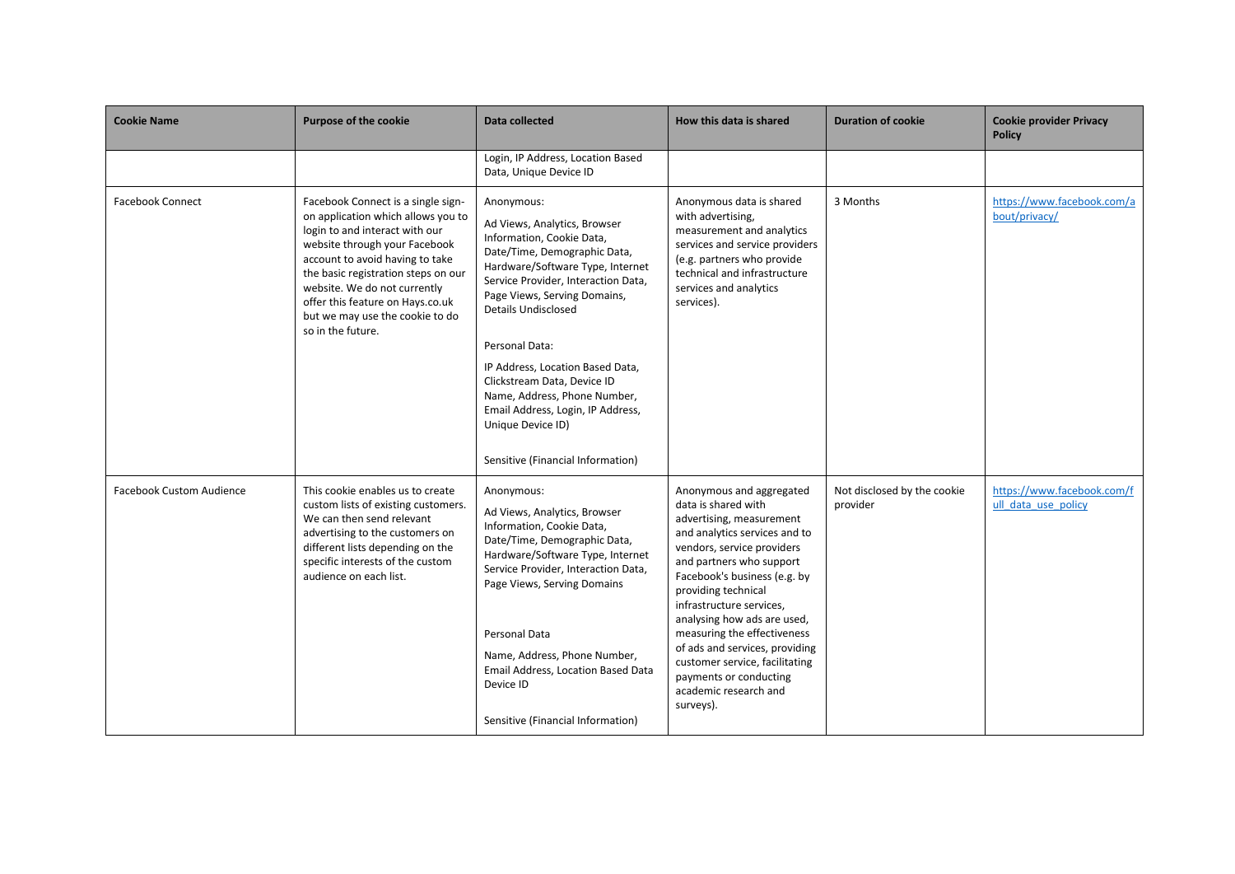| <b>Cookie Name</b>              | <b>Purpose of the cookie</b>                                                                                                                                                                                                                                                                                                                      | Data collected                                                                                                                                                                                                                                                                                                                                                                                                                                                | How this data is shared                                                                                                                                                                                                                                                                                                                                                                                                                                     | <b>Duration of cookie</b>               | <b>Cookie provider Privacy</b><br><b>Policy</b>   |
|---------------------------------|---------------------------------------------------------------------------------------------------------------------------------------------------------------------------------------------------------------------------------------------------------------------------------------------------------------------------------------------------|---------------------------------------------------------------------------------------------------------------------------------------------------------------------------------------------------------------------------------------------------------------------------------------------------------------------------------------------------------------------------------------------------------------------------------------------------------------|-------------------------------------------------------------------------------------------------------------------------------------------------------------------------------------------------------------------------------------------------------------------------------------------------------------------------------------------------------------------------------------------------------------------------------------------------------------|-----------------------------------------|---------------------------------------------------|
|                                 |                                                                                                                                                                                                                                                                                                                                                   | Login, IP Address, Location Based<br>Data, Unique Device ID                                                                                                                                                                                                                                                                                                                                                                                                   |                                                                                                                                                                                                                                                                                                                                                                                                                                                             |                                         |                                                   |
| <b>Facebook Connect</b>         | Facebook Connect is a single sign-<br>on application which allows you to<br>login to and interact with our<br>website through your Facebook<br>account to avoid having to take<br>the basic registration steps on our<br>website. We do not currently<br>offer this feature on Hays.co.uk<br>but we may use the cookie to do<br>so in the future. | Anonymous:<br>Ad Views, Analytics, Browser<br>Information, Cookie Data,<br>Date/Time, Demographic Data,<br>Hardware/Software Type, Internet<br>Service Provider, Interaction Data,<br>Page Views, Serving Domains,<br>Details Undisclosed<br>Personal Data:<br>IP Address, Location Based Data,<br>Clickstream Data, Device ID<br>Name, Address, Phone Number,<br>Email Address, Login, IP Address,<br>Unique Device ID)<br>Sensitive (Financial Information) | Anonymous data is shared<br>with advertising,<br>measurement and analytics<br>services and service providers<br>(e.g. partners who provide<br>technical and infrastructure<br>services and analytics<br>services).                                                                                                                                                                                                                                          | 3 Months                                | https://www.facebook.com/a<br>bout/privacy/       |
| <b>Facebook Custom Audience</b> | This cookie enables us to create<br>custom lists of existing customers.<br>We can then send relevant<br>advertising to the customers on<br>different lists depending on the<br>specific interests of the custom<br>audience on each list.                                                                                                         | Anonymous:<br>Ad Views, Analytics, Browser<br>Information, Cookie Data,<br>Date/Time, Demographic Data,<br>Hardware/Software Type, Internet<br>Service Provider, Interaction Data,<br>Page Views, Serving Domains<br>Personal Data<br>Name, Address, Phone Number,<br>Email Address, Location Based Data<br>Device ID<br>Sensitive (Financial Information)                                                                                                    | Anonymous and aggregated<br>data is shared with<br>advertising, measurement<br>and analytics services and to<br>vendors, service providers<br>and partners who support<br>Facebook's business (e.g. by<br>providing technical<br>infrastructure services,<br>analysing how ads are used,<br>measuring the effectiveness<br>of ads and services, providing<br>customer service, facilitating<br>payments or conducting<br>academic research and<br>surveys). | Not disclosed by the cookie<br>provider | https://www.facebook.com/f<br>ull data use policy |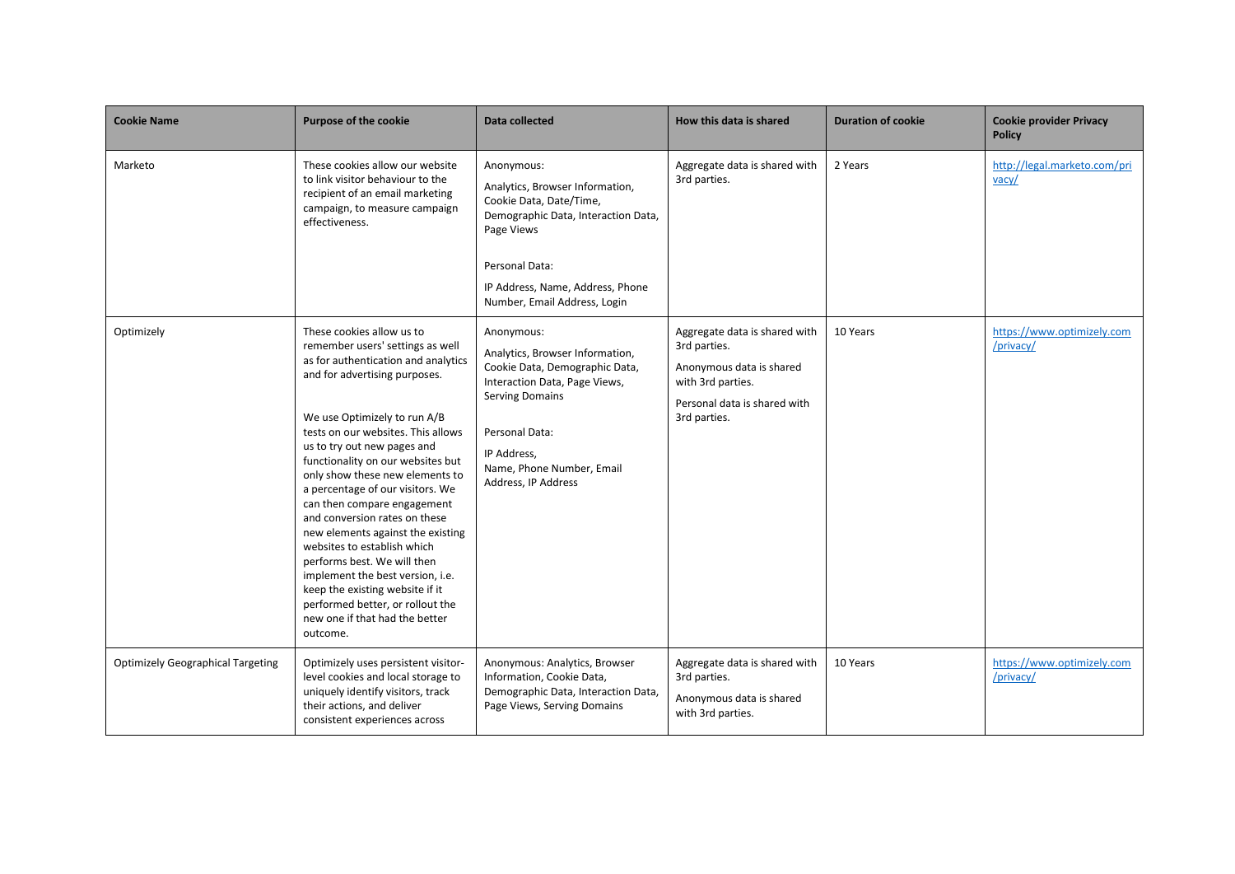| <b>Cookie Name</b>                       | <b>Purpose of the cookie</b>                                                                                                                                                                                                                                                                                                                                                                                                                                                                                                                                                                                                                                                       | Data collected                                                                                                                                                                                                                  | How this data is shared                                                                                                                        | <b>Duration of cookie</b> | <b>Cookie provider Privacy</b><br><b>Policy</b> |
|------------------------------------------|------------------------------------------------------------------------------------------------------------------------------------------------------------------------------------------------------------------------------------------------------------------------------------------------------------------------------------------------------------------------------------------------------------------------------------------------------------------------------------------------------------------------------------------------------------------------------------------------------------------------------------------------------------------------------------|---------------------------------------------------------------------------------------------------------------------------------------------------------------------------------------------------------------------------------|------------------------------------------------------------------------------------------------------------------------------------------------|---------------------------|-------------------------------------------------|
| Marketo                                  | These cookies allow our website<br>to link visitor behaviour to the<br>recipient of an email marketing<br>campaign, to measure campaign<br>effectiveness.                                                                                                                                                                                                                                                                                                                                                                                                                                                                                                                          | Anonymous:<br>Analytics, Browser Information,<br>Cookie Data, Date/Time,<br>Demographic Data, Interaction Data,<br>Page Views<br>Personal Data:<br>IP Address, Name, Address, Phone<br>Number, Email Address, Login             | Aggregate data is shared with<br>3rd parties.                                                                                                  | 2 Years                   | http://legal.marketo.com/pri<br>$\text{vacy}$   |
| Optimizely                               | These cookies allow us to<br>remember users' settings as well<br>as for authentication and analytics<br>and for advertising purposes.<br>We use Optimizely to run A/B<br>tests on our websites. This allows<br>us to try out new pages and<br>functionality on our websites but<br>only show these new elements to<br>a percentage of our visitors. We<br>can then compare engagement<br>and conversion rates on these<br>new elements against the existing<br>websites to establish which<br>performs best. We will then<br>implement the best version, i.e.<br>keep the existing website if it<br>performed better, or rollout the<br>new one if that had the better<br>outcome. | Anonymous:<br>Analytics, Browser Information,<br>Cookie Data, Demographic Data,<br>Interaction Data, Page Views,<br><b>Serving Domains</b><br>Personal Data:<br>IP Address,<br>Name, Phone Number, Email<br>Address, IP Address | Aggregate data is shared with<br>3rd parties.<br>Anonymous data is shared<br>with 3rd parties.<br>Personal data is shared with<br>3rd parties. | 10 Years                  | https://www.optimizely.com<br>/privacy/         |
| <b>Optimizely Geographical Targeting</b> | Optimizely uses persistent visitor-<br>level cookies and local storage to<br>uniquely identify visitors, track<br>their actions, and deliver<br>consistent experiences across                                                                                                                                                                                                                                                                                                                                                                                                                                                                                                      | Anonymous: Analytics, Browser<br>Information, Cookie Data,<br>Demographic Data, Interaction Data,<br>Page Views, Serving Domains                                                                                                | Aggregate data is shared with<br>3rd parties.<br>Anonymous data is shared<br>with 3rd parties.                                                 | 10 Years                  | https://www.optimizely.com<br>/privacy/         |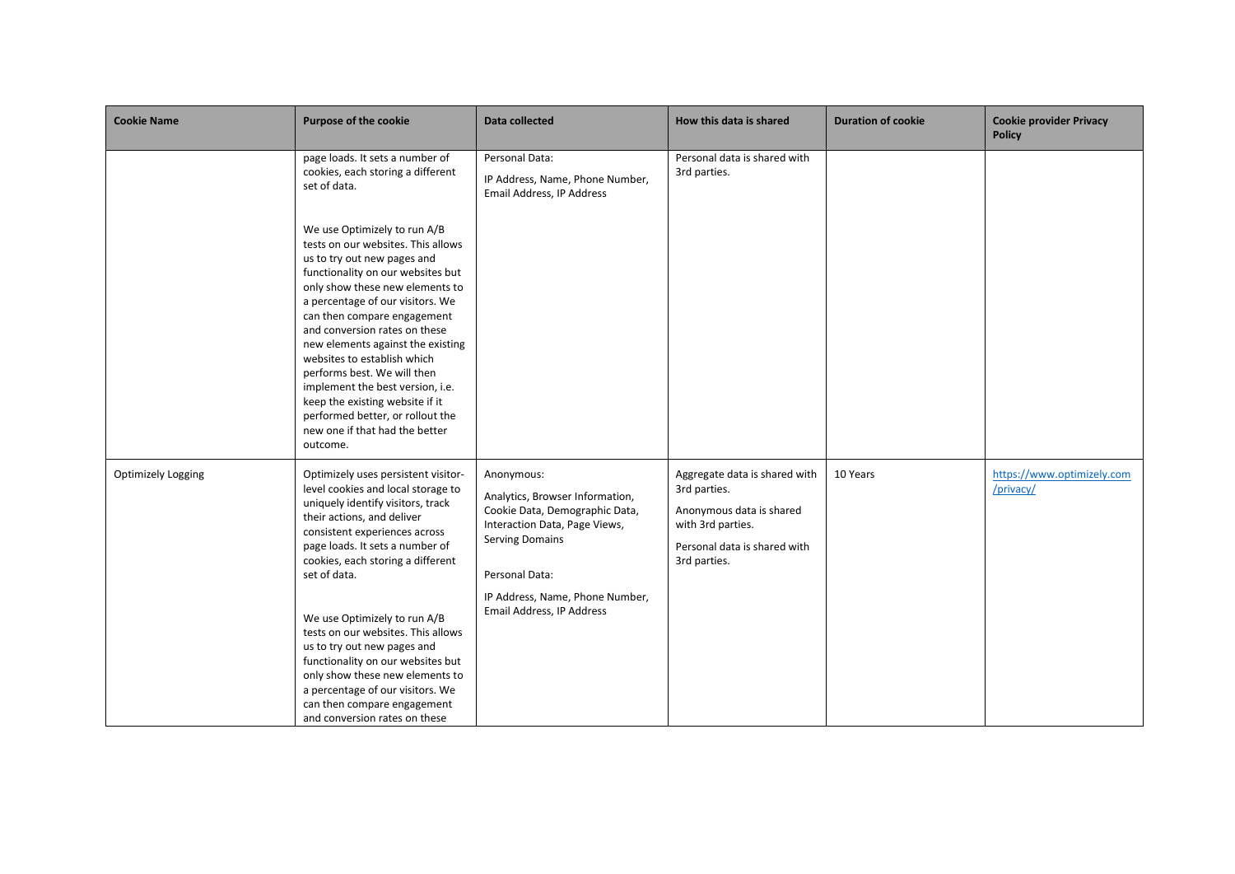| <b>Cookie Name</b>        | <b>Purpose of the cookie</b>                                                                                                                                                                                                                                                                                                                                                                                                                                                                                                                                                                                                      | Data collected                                                                                                                                                                                                               | How this data is shared                                                                                                                        | <b>Duration of cookie</b> | <b>Cookie provider Privacy</b><br><b>Policy</b> |
|---------------------------|-----------------------------------------------------------------------------------------------------------------------------------------------------------------------------------------------------------------------------------------------------------------------------------------------------------------------------------------------------------------------------------------------------------------------------------------------------------------------------------------------------------------------------------------------------------------------------------------------------------------------------------|------------------------------------------------------------------------------------------------------------------------------------------------------------------------------------------------------------------------------|------------------------------------------------------------------------------------------------------------------------------------------------|---------------------------|-------------------------------------------------|
|                           | page loads. It sets a number of<br>cookies, each storing a different<br>set of data.<br>We use Optimizely to run A/B<br>tests on our websites. This allows<br>us to try out new pages and<br>functionality on our websites but<br>only show these new elements to<br>a percentage of our visitors. We<br>can then compare engagement<br>and conversion rates on these<br>new elements against the existing<br>websites to establish which<br>performs best. We will then<br>implement the best version, i.e.<br>keep the existing website if it<br>performed better, or rollout the<br>new one if that had the better<br>outcome. | Personal Data:<br>IP Address, Name, Phone Number,<br>Email Address, IP Address                                                                                                                                               | Personal data is shared with<br>3rd parties.                                                                                                   |                           |                                                 |
| <b>Optimizely Logging</b> | Optimizely uses persistent visitor-<br>level cookies and local storage to<br>uniquely identify visitors, track<br>their actions, and deliver<br>consistent experiences across<br>page loads. It sets a number of<br>cookies, each storing a different<br>set of data.<br>We use Optimizely to run A/B<br>tests on our websites. This allows<br>us to try out new pages and<br>functionality on our websites but<br>only show these new elements to<br>a percentage of our visitors. We<br>can then compare engagement<br>and conversion rates on these                                                                            | Anonymous:<br>Analytics, Browser Information,<br>Cookie Data, Demographic Data,<br>Interaction Data, Page Views,<br><b>Serving Domains</b><br>Personal Data:<br>IP Address, Name, Phone Number,<br>Email Address, IP Address | Aggregate data is shared with<br>3rd parties.<br>Anonymous data is shared<br>with 3rd parties.<br>Personal data is shared with<br>3rd parties. | 10 Years                  | https://www.optimizely.com<br>/privacy/         |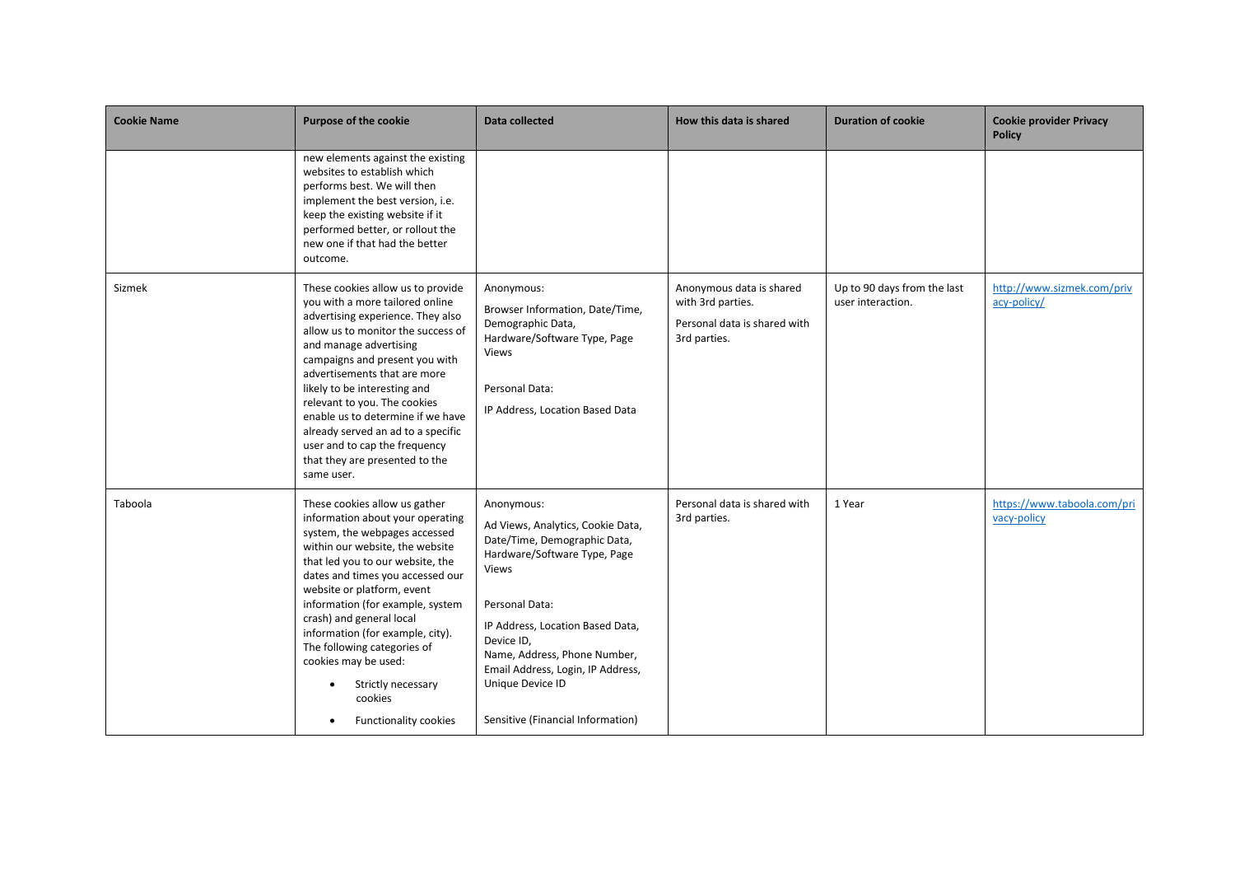| <b>Cookie Name</b> | <b>Purpose of the cookie</b>                                                                                                                                                                                                                                                                                                                                                                                                                                            | Data collected                                                                                                                                                                                                                                                                                                             | How this data is shared                                                                       | <b>Duration of cookie</b>                        | <b>Cookie provider Privacy</b><br><b>Policy</b> |
|--------------------|-------------------------------------------------------------------------------------------------------------------------------------------------------------------------------------------------------------------------------------------------------------------------------------------------------------------------------------------------------------------------------------------------------------------------------------------------------------------------|----------------------------------------------------------------------------------------------------------------------------------------------------------------------------------------------------------------------------------------------------------------------------------------------------------------------------|-----------------------------------------------------------------------------------------------|--------------------------------------------------|-------------------------------------------------|
|                    | new elements against the existing<br>websites to establish which<br>performs best. We will then<br>implement the best version, i.e.<br>keep the existing website if it<br>performed better, or rollout the<br>new one if that had the better<br>outcome.                                                                                                                                                                                                                |                                                                                                                                                                                                                                                                                                                            |                                                                                               |                                                  |                                                 |
| Sizmek             | These cookies allow us to provide<br>you with a more tailored online<br>advertising experience. They also<br>allow us to monitor the success of<br>and manage advertising<br>campaigns and present you with<br>advertisements that are more<br>likely to be interesting and<br>relevant to you. The cookies<br>enable us to determine if we have<br>already served an ad to a specific<br>user and to cap the frequency<br>that they are presented to the<br>same user. | Anonymous:<br>Browser Information, Date/Time,<br>Demographic Data,<br>Hardware/Software Type, Page<br>Views<br>Personal Data:<br>IP Address, Location Based Data                                                                                                                                                           | Anonymous data is shared<br>with 3rd parties.<br>Personal data is shared with<br>3rd parties. | Up to 90 days from the last<br>user interaction. | http://www.sizmek.com/priv<br>acy-policy/       |
| Taboola            | These cookies allow us gather<br>information about your operating<br>system, the webpages accessed<br>within our website, the website<br>that led you to our website, the<br>dates and times you accessed our<br>website or platform, event<br>information (for example, system<br>crash) and general local<br>information (for example, city).<br>The following categories of<br>cookies may be used:<br>Strictly necessary<br>cookies<br>Functionality cookies        | Anonymous:<br>Ad Views, Analytics, Cookie Data,<br>Date/Time, Demographic Data,<br>Hardware/Software Type, Page<br>Views<br>Personal Data:<br>IP Address, Location Based Data,<br>Device ID,<br>Name, Address, Phone Number,<br>Email Address, Login, IP Address,<br>Unique Device ID<br>Sensitive (Financial Information) | Personal data is shared with<br>3rd parties.                                                  | 1 Year                                           | https://www.taboola.com/pri<br>vacy-policy      |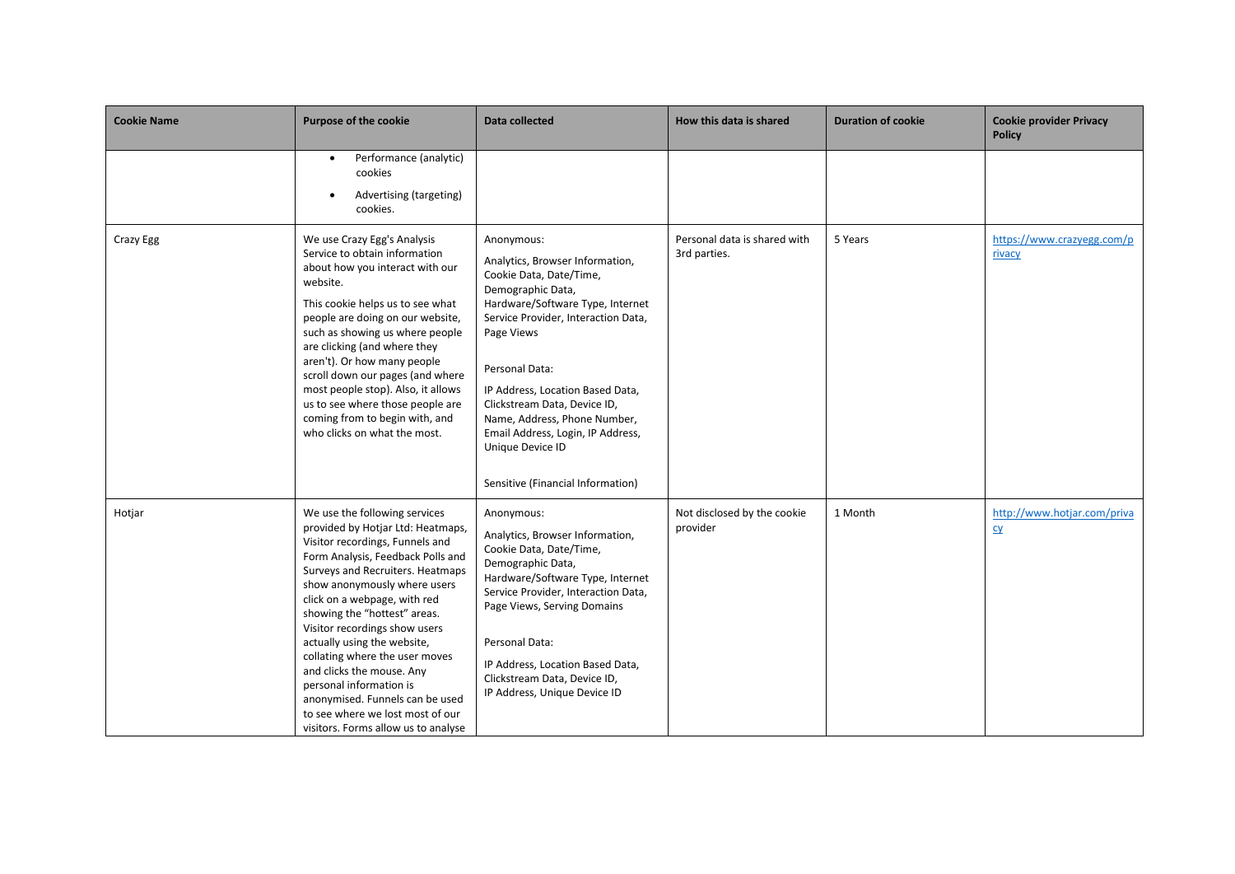| <b>Cookie Name</b> | <b>Purpose of the cookie</b>                                                                                                                                                                                                                                                                                                                                                                                                                                                                                                                           | Data collected                                                                                                                                                                                                                                                                                                                                                                                             | How this data is shared                      | <b>Duration of cookie</b> | <b>Cookie provider Privacy</b><br><b>Policy</b> |
|--------------------|--------------------------------------------------------------------------------------------------------------------------------------------------------------------------------------------------------------------------------------------------------------------------------------------------------------------------------------------------------------------------------------------------------------------------------------------------------------------------------------------------------------------------------------------------------|------------------------------------------------------------------------------------------------------------------------------------------------------------------------------------------------------------------------------------------------------------------------------------------------------------------------------------------------------------------------------------------------------------|----------------------------------------------|---------------------------|-------------------------------------------------|
|                    | Performance (analytic)<br>$\bullet$<br>cookies<br>Advertising (targeting)<br>$\bullet$<br>cookies.                                                                                                                                                                                                                                                                                                                                                                                                                                                     |                                                                                                                                                                                                                                                                                                                                                                                                            |                                              |                           |                                                 |
| Crazy Egg          | We use Crazy Egg's Analysis<br>Service to obtain information<br>about how you interact with our<br>website.<br>This cookie helps us to see what<br>people are doing on our website,<br>such as showing us where people<br>are clicking (and where they<br>aren't). Or how many people<br>scroll down our pages (and where<br>most people stop). Also, it allows<br>us to see where those people are<br>coming from to begin with, and<br>who clicks on what the most.                                                                                  | Anonymous:<br>Analytics, Browser Information,<br>Cookie Data, Date/Time,<br>Demographic Data,<br>Hardware/Software Type, Internet<br>Service Provider, Interaction Data,<br>Page Views<br>Personal Data:<br>IP Address, Location Based Data,<br>Clickstream Data, Device ID,<br>Name, Address, Phone Number,<br>Email Address, Login, IP Address,<br>Unique Device ID<br>Sensitive (Financial Information) | Personal data is shared with<br>3rd parties. | 5 Years                   | https://www.crazyegg.com/p<br>rivacy            |
| Hotjar             | We use the following services<br>provided by Hotjar Ltd: Heatmaps,<br>Visitor recordings, Funnels and<br>Form Analysis, Feedback Polls and<br>Surveys and Recruiters. Heatmaps<br>show anonymously where users<br>click on a webpage, with red<br>showing the "hottest" areas.<br>Visitor recordings show users<br>actually using the website,<br>collating where the user moves<br>and clicks the mouse. Any<br>personal information is<br>anonymised. Funnels can be used<br>to see where we lost most of our<br>visitors. Forms allow us to analyse | Anonymous:<br>Analytics, Browser Information,<br>Cookie Data, Date/Time,<br>Demographic Data,<br>Hardware/Software Type, Internet<br>Service Provider, Interaction Data,<br>Page Views, Serving Domains<br>Personal Data:<br>IP Address, Location Based Data,<br>Clickstream Data, Device ID,<br>IP Address, Unique Device ID                                                                              | Not disclosed by the cookie<br>provider      | 1 Month                   | http://www.hotjar.com/priva<br>C <sub>V</sub>   |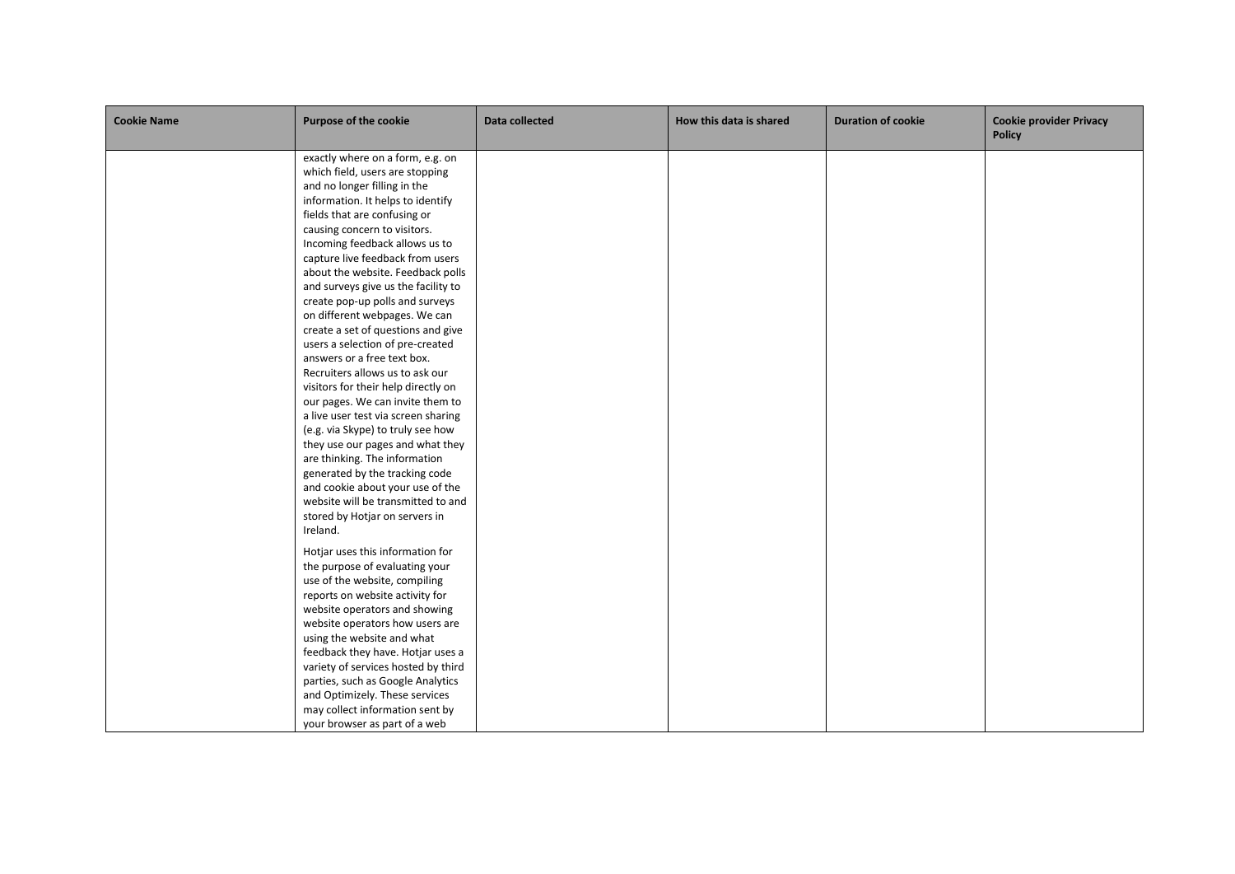| <b>Cookie Name</b> | <b>Purpose of the cookie</b>                                                                                                                                                                                                                                                                                                                                                                                                                                                                                                                                                                                                                                                                                                                                                                                                                                                                                                                                     | Data collected | How this data is shared | <b>Duration of cookie</b> | <b>Cookie provider Privacy</b><br><b>Policy</b> |
|--------------------|------------------------------------------------------------------------------------------------------------------------------------------------------------------------------------------------------------------------------------------------------------------------------------------------------------------------------------------------------------------------------------------------------------------------------------------------------------------------------------------------------------------------------------------------------------------------------------------------------------------------------------------------------------------------------------------------------------------------------------------------------------------------------------------------------------------------------------------------------------------------------------------------------------------------------------------------------------------|----------------|-------------------------|---------------------------|-------------------------------------------------|
|                    | exactly where on a form, e.g. on<br>which field, users are stopping<br>and no longer filling in the<br>information. It helps to identify<br>fields that are confusing or<br>causing concern to visitors.<br>Incoming feedback allows us to<br>capture live feedback from users<br>about the website. Feedback polls<br>and surveys give us the facility to<br>create pop-up polls and surveys<br>on different webpages. We can<br>create a set of questions and give<br>users a selection of pre-created<br>answers or a free text box.<br>Recruiters allows us to ask our<br>visitors for their help directly on<br>our pages. We can invite them to<br>a live user test via screen sharing<br>(e.g. via Skype) to truly see how<br>they use our pages and what they<br>are thinking. The information<br>generated by the tracking code<br>and cookie about your use of the<br>website will be transmitted to and<br>stored by Hotjar on servers in<br>Ireland. |                |                         |                           |                                                 |
|                    | Hotjar uses this information for<br>the purpose of evaluating your<br>use of the website, compiling<br>reports on website activity for<br>website operators and showing<br>website operators how users are<br>using the website and what<br>feedback they have. Hotjar uses a<br>variety of services hosted by third<br>parties, such as Google Analytics<br>and Optimizely. These services<br>may collect information sent by<br>your browser as part of a web                                                                                                                                                                                                                                                                                                                                                                                                                                                                                                  |                |                         |                           |                                                 |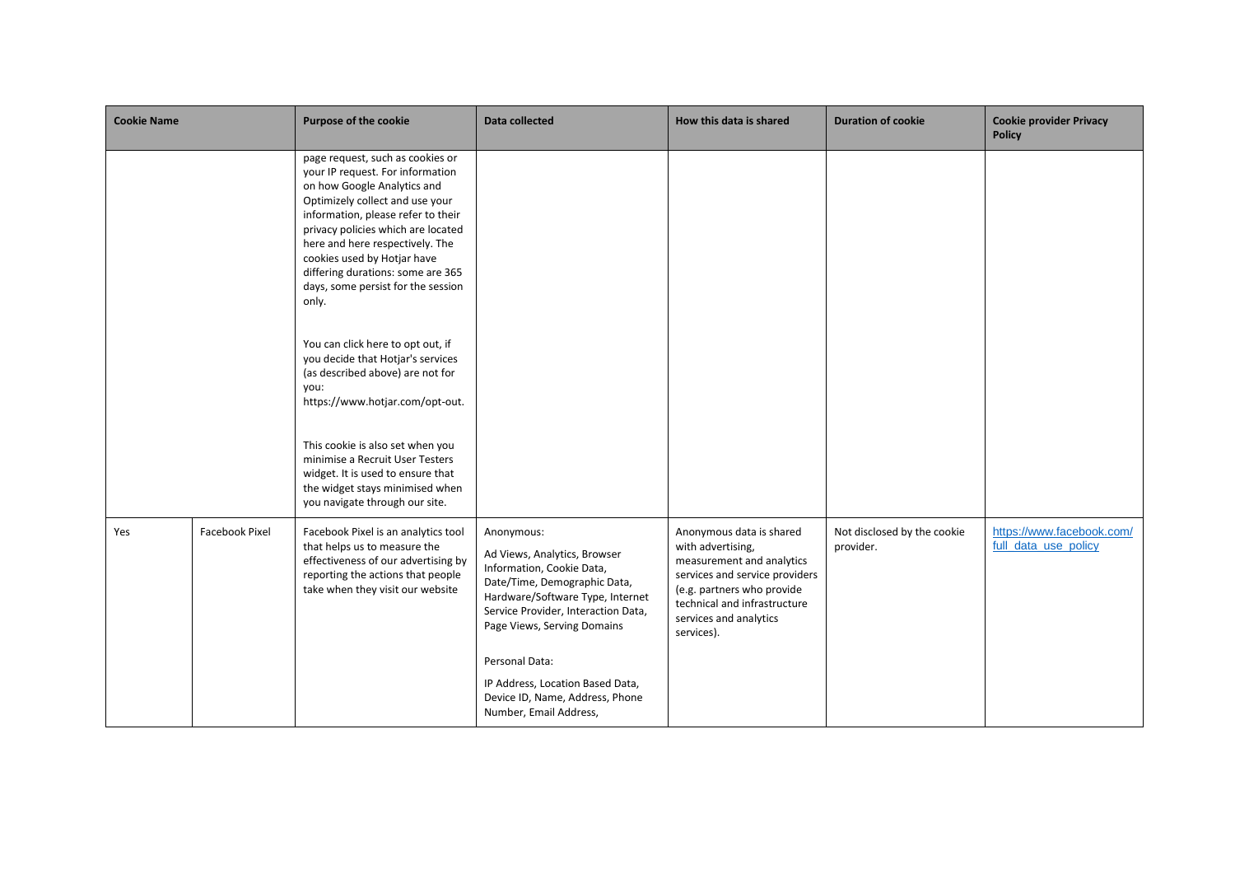| <b>Cookie Name</b> |                       | <b>Purpose of the cookie</b>                                                                                                                                                                                                                                                                                                                                             | Data collected                                                                                                                                                                                                    | How this data is shared                                                                                                                                                                                            | <b>Duration of cookie</b>                | <b>Cookie provider Privacy</b><br><b>Policy</b>   |
|--------------------|-----------------------|--------------------------------------------------------------------------------------------------------------------------------------------------------------------------------------------------------------------------------------------------------------------------------------------------------------------------------------------------------------------------|-------------------------------------------------------------------------------------------------------------------------------------------------------------------------------------------------------------------|--------------------------------------------------------------------------------------------------------------------------------------------------------------------------------------------------------------------|------------------------------------------|---------------------------------------------------|
|                    |                       | page request, such as cookies or<br>your IP request. For information<br>on how Google Analytics and<br>Optimizely collect and use your<br>information, please refer to their<br>privacy policies which are located<br>here and here respectively. The<br>cookies used by Hotjar have<br>differing durations: some are 365<br>days, some persist for the session<br>only. |                                                                                                                                                                                                                   |                                                                                                                                                                                                                    |                                          |                                                   |
|                    |                       | You can click here to opt out, if<br>you decide that Hotjar's services<br>(as described above) are not for<br>you:<br>https://www.hotjar.com/opt-out.                                                                                                                                                                                                                    |                                                                                                                                                                                                                   |                                                                                                                                                                                                                    |                                          |                                                   |
|                    |                       | This cookie is also set when you<br>minimise a Recruit User Testers<br>widget. It is used to ensure that<br>the widget stays minimised when<br>you navigate through our site.                                                                                                                                                                                            |                                                                                                                                                                                                                   |                                                                                                                                                                                                                    |                                          |                                                   |
| Yes                | <b>Facebook Pixel</b> | Facebook Pixel is an analytics tool<br>that helps us to measure the<br>effectiveness of our advertising by<br>reporting the actions that people<br>take when they visit our website                                                                                                                                                                                      | Anonymous:<br>Ad Views, Analytics, Browser<br>Information, Cookie Data,<br>Date/Time, Demographic Data,<br>Hardware/Software Type, Internet<br>Service Provider, Interaction Data,<br>Page Views, Serving Domains | Anonymous data is shared<br>with advertising,<br>measurement and analytics<br>services and service providers<br>(e.g. partners who provide<br>technical and infrastructure<br>services and analytics<br>services). | Not disclosed by the cookie<br>provider. | https://www.facebook.com/<br>full data use policy |
|                    |                       |                                                                                                                                                                                                                                                                                                                                                                          | Personal Data:<br>IP Address, Location Based Data,<br>Device ID, Name, Address, Phone<br>Number, Email Address,                                                                                                   |                                                                                                                                                                                                                    |                                          |                                                   |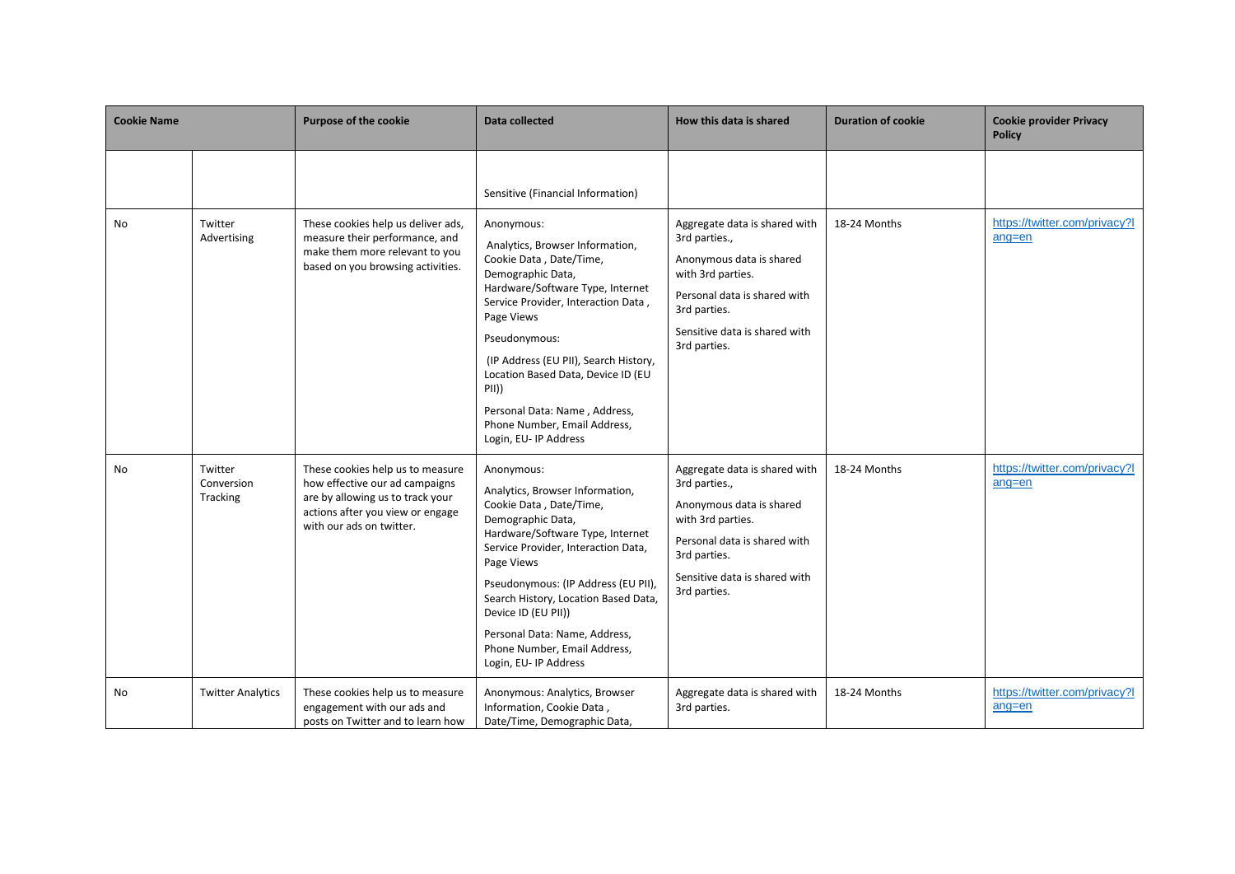| <b>Cookie Name</b> |                                   | Purpose of the cookie                                                                                                                                                  | Data collected                                                                                                                                                                                                                                                                                                                                                                                                                | How this data is shared                                                                                                                                                                          | <b>Duration of cookie</b> | <b>Cookie provider Privacy</b><br><b>Policy</b> |
|--------------------|-----------------------------------|------------------------------------------------------------------------------------------------------------------------------------------------------------------------|-------------------------------------------------------------------------------------------------------------------------------------------------------------------------------------------------------------------------------------------------------------------------------------------------------------------------------------------------------------------------------------------------------------------------------|--------------------------------------------------------------------------------------------------------------------------------------------------------------------------------------------------|---------------------------|-------------------------------------------------|
| No                 | Twitter<br>Advertising            | These cookies help us deliver ads,<br>measure their performance, and<br>make them more relevant to you<br>based on you browsing activities.                            | Sensitive (Financial Information)<br>Anonymous:<br>Analytics, Browser Information,<br>Cookie Data, Date/Time,<br>Demographic Data,<br>Hardware/Software Type, Internet<br>Service Provider, Interaction Data,<br>Page Views<br>Pseudonymous:<br>(IP Address (EU PII), Search History,<br>Location Based Data, Device ID (EU<br>PII)<br>Personal Data: Name, Address,<br>Phone Number, Email Address,<br>Login, EU- IP Address | Aggregate data is shared with<br>3rd parties.,<br>Anonymous data is shared<br>with 3rd parties.<br>Personal data is shared with<br>3rd parties.<br>Sensitive data is shared with<br>3rd parties. | 18-24 Months              | https://twitter.com/privacy?l<br>$ang = en$     |
| No                 | Twitter<br>Conversion<br>Tracking | These cookies help us to measure<br>how effective our ad campaigns<br>are by allowing us to track your<br>actions after you view or engage<br>with our ads on twitter. | Anonymous:<br>Analytics, Browser Information,<br>Cookie Data, Date/Time,<br>Demographic Data,<br>Hardware/Software Type, Internet<br>Service Provider, Interaction Data,<br>Page Views<br>Pseudonymous: (IP Address (EU PII),<br>Search History, Location Based Data,<br>Device ID (EU PII))<br>Personal Data: Name, Address,<br>Phone Number, Email Address,<br>Login, EU- IP Address                                        | Aggregate data is shared with<br>3rd parties.,<br>Anonymous data is shared<br>with 3rd parties.<br>Personal data is shared with<br>3rd parties.<br>Sensitive data is shared with<br>3rd parties. | 18-24 Months              | https://twitter.com/privacy?l<br>$ang = en$     |
| No                 | <b>Twitter Analytics</b>          | These cookies help us to measure<br>engagement with our ads and<br>posts on Twitter and to learn how                                                                   | Anonymous: Analytics, Browser<br>Information, Cookie Data,<br>Date/Time, Demographic Data,                                                                                                                                                                                                                                                                                                                                    | Aggregate data is shared with<br>3rd parties.                                                                                                                                                    | 18-24 Months              | https://twitter.com/privacy?l<br>$ang = en$     |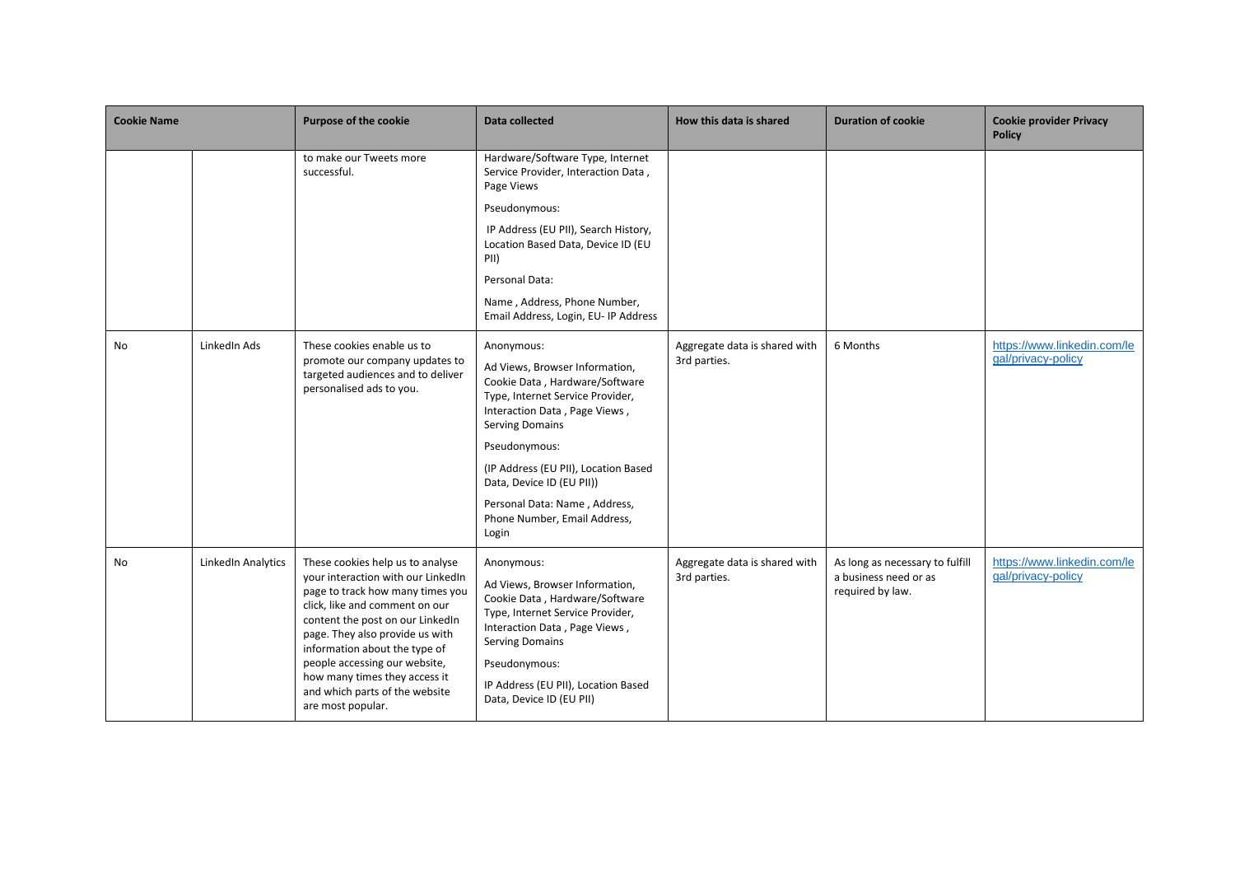| <b>Cookie Name</b> |                    | <b>Purpose of the cookie</b>                                                                                                                                                                                                                                                                                                                                                  | Data collected                                                                                                                                                                                                                                                                                                                                | How this data is shared                       | <b>Duration of cookie</b>                                                    | <b>Cookie provider Privacy</b><br><b>Policy</b>   |
|--------------------|--------------------|-------------------------------------------------------------------------------------------------------------------------------------------------------------------------------------------------------------------------------------------------------------------------------------------------------------------------------------------------------------------------------|-----------------------------------------------------------------------------------------------------------------------------------------------------------------------------------------------------------------------------------------------------------------------------------------------------------------------------------------------|-----------------------------------------------|------------------------------------------------------------------------------|---------------------------------------------------|
|                    |                    | to make our Tweets more<br>successful.                                                                                                                                                                                                                                                                                                                                        | Hardware/Software Type, Internet<br>Service Provider, Interaction Data,<br>Page Views<br>Pseudonymous:<br>IP Address (EU PII), Search History,<br>Location Based Data, Device ID (EU<br>PII)<br>Personal Data:<br>Name, Address, Phone Number,<br>Email Address, Login, EU- IP Address                                                        |                                               |                                                                              |                                                   |
| No                 | LinkedIn Ads       | These cookies enable us to<br>promote our company updates to<br>targeted audiences and to deliver<br>personalised ads to you.                                                                                                                                                                                                                                                 | Anonymous:<br>Ad Views, Browser Information,<br>Cookie Data, Hardware/Software<br>Type, Internet Service Provider,<br>Interaction Data, Page Views,<br><b>Serving Domains</b><br>Pseudonymous:<br>(IP Address (EU PII), Location Based<br>Data, Device ID (EU PII))<br>Personal Data: Name, Address,<br>Phone Number, Email Address,<br>Login | Aggregate data is shared with<br>3rd parties. | 6 Months                                                                     | https://www.linkedin.com/le<br>gal/privacy-policy |
| No                 | LinkedIn Analytics | These cookies help us to analyse<br>your interaction with our LinkedIn<br>page to track how many times you<br>click, like and comment on our<br>content the post on our LinkedIn<br>page. They also provide us with<br>information about the type of<br>people accessing our website,<br>how many times they access it<br>and which parts of the website<br>are most popular. | Anonymous:<br>Ad Views, Browser Information,<br>Cookie Data, Hardware/Software<br>Type, Internet Service Provider,<br>Interaction Data, Page Views,<br><b>Serving Domains</b><br>Pseudonymous:<br>IP Address (EU PII), Location Based<br>Data, Device ID (EU PII)                                                                             | Aggregate data is shared with<br>3rd parties. | As long as necessary to fulfill<br>a business need or as<br>required by law. | https://www.linkedin.com/le<br>gal/privacy-policy |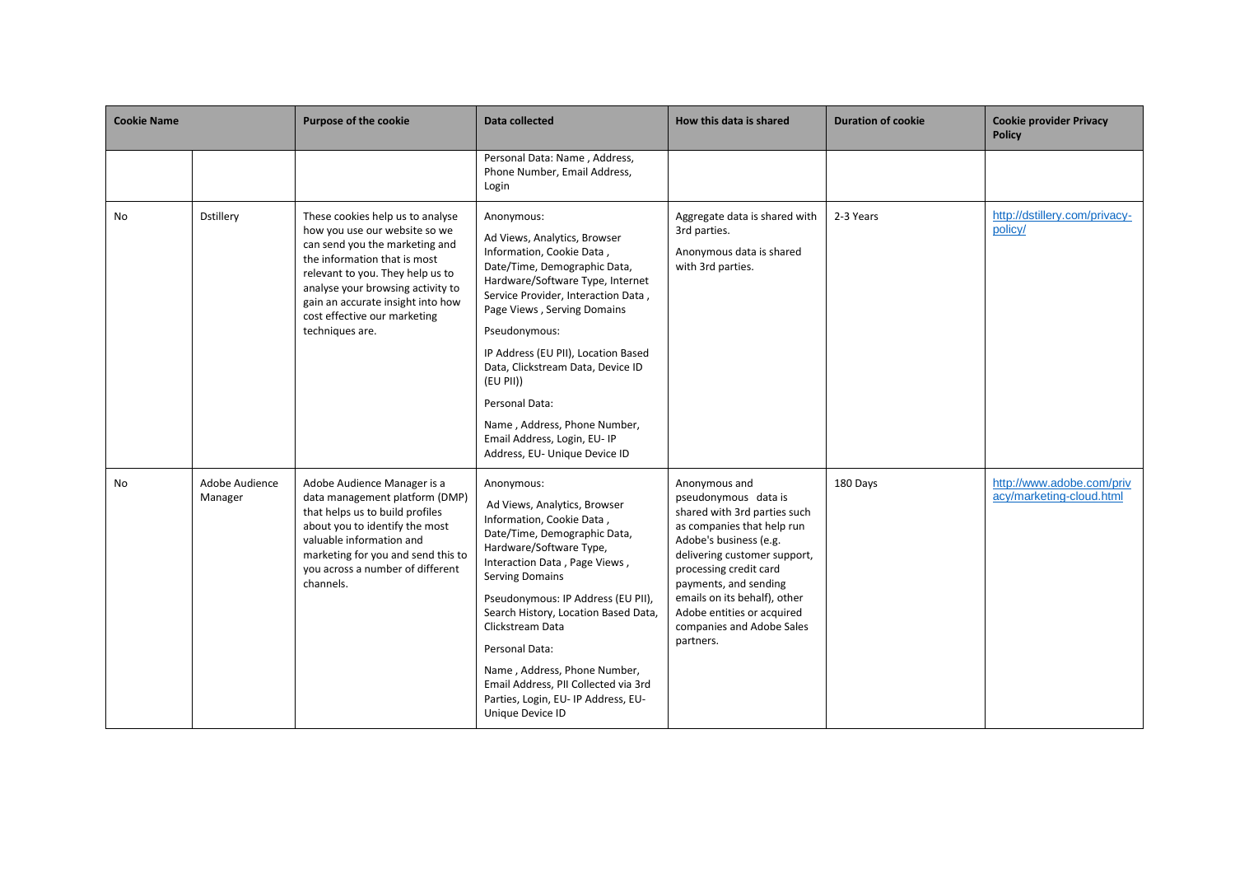| <b>Cookie Name</b> |                           | Purpose of the cookie                                                                                                                                                                                                                                                                                | Data collected                                                                                                                                                                                                                                                                                                                                                                                                                                      | How this data is shared                                                                                                                                                                                                                                                                                                  | <b>Duration of cookie</b> | <b>Cookie provider Privacy</b><br><b>Policy</b>       |
|--------------------|---------------------------|------------------------------------------------------------------------------------------------------------------------------------------------------------------------------------------------------------------------------------------------------------------------------------------------------|-----------------------------------------------------------------------------------------------------------------------------------------------------------------------------------------------------------------------------------------------------------------------------------------------------------------------------------------------------------------------------------------------------------------------------------------------------|--------------------------------------------------------------------------------------------------------------------------------------------------------------------------------------------------------------------------------------------------------------------------------------------------------------------------|---------------------------|-------------------------------------------------------|
|                    |                           |                                                                                                                                                                                                                                                                                                      | Personal Data: Name, Address,<br>Phone Number, Email Address,<br>Login                                                                                                                                                                                                                                                                                                                                                                              |                                                                                                                                                                                                                                                                                                                          |                           |                                                       |
| No                 | <b>Dstillery</b>          | These cookies help us to analyse<br>how you use our website so we<br>can send you the marketing and<br>the information that is most<br>relevant to you. They help us to<br>analyse your browsing activity to<br>gain an accurate insight into how<br>cost effective our marketing<br>techniques are. | Anonymous:<br>Ad Views, Analytics, Browser<br>Information, Cookie Data,<br>Date/Time, Demographic Data,<br>Hardware/Software Type, Internet<br>Service Provider, Interaction Data,<br>Page Views, Serving Domains<br>Pseudonymous:<br>IP Address (EU PII), Location Based<br>Data, Clickstream Data, Device ID<br>(EU PII))<br>Personal Data:<br>Name, Address, Phone Number,<br>Email Address, Login, EU-IP<br>Address, EU- Unique Device ID       | Aggregate data is shared with<br>3rd parties.<br>Anonymous data is shared<br>with 3rd parties.                                                                                                                                                                                                                           | 2-3 Years                 | http://dstillery.com/privacy-<br>policy/              |
| No                 | Adobe Audience<br>Manager | Adobe Audience Manager is a<br>data management platform (DMP)<br>that helps us to build profiles<br>about you to identify the most<br>valuable information and<br>marketing for you and send this to<br>you across a number of different<br>channels.                                                | Anonymous:<br>Ad Views, Analytics, Browser<br>Information, Cookie Data,<br>Date/Time, Demographic Data,<br>Hardware/Software Type,<br>Interaction Data, Page Views,<br><b>Serving Domains</b><br>Pseudonymous: IP Address (EU PII),<br>Search History, Location Based Data,<br>Clickstream Data<br>Personal Data:<br>Name, Address, Phone Number,<br>Email Address, PII Collected via 3rd<br>Parties, Login, EU-IP Address, EU-<br>Unique Device ID | Anonymous and<br>pseudonymous data is<br>shared with 3rd parties such<br>as companies that help run<br>Adobe's business (e.g.<br>delivering customer support,<br>processing credit card<br>payments, and sending<br>emails on its behalf), other<br>Adobe entities or acquired<br>companies and Adobe Sales<br>partners. | 180 Days                  | http://www.adobe.com/priv<br>acy/marketing-cloud.html |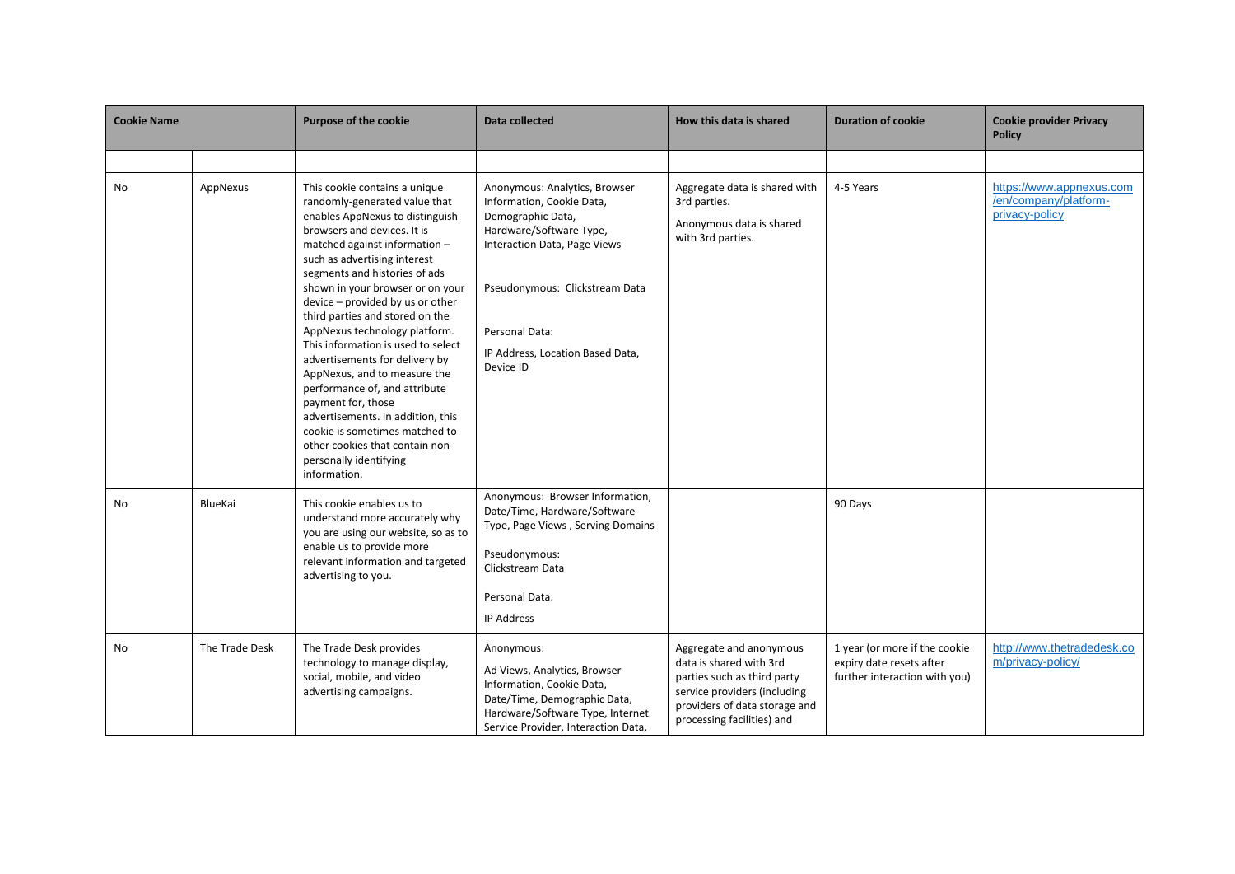| <b>Cookie Name</b> |                | Purpose of the cookie                                                                                                                                                                                                                                                                                                                                                                                                                                                                                                                                                                                                                                                                             | Data collected                                                                                                                                                                                                                                  | How this data is shared                                                                                                                                                          | <b>Duration of cookie</b>                                                                  | <b>Cookie provider Privacy</b><br><b>Policy</b>                     |
|--------------------|----------------|---------------------------------------------------------------------------------------------------------------------------------------------------------------------------------------------------------------------------------------------------------------------------------------------------------------------------------------------------------------------------------------------------------------------------------------------------------------------------------------------------------------------------------------------------------------------------------------------------------------------------------------------------------------------------------------------------|-------------------------------------------------------------------------------------------------------------------------------------------------------------------------------------------------------------------------------------------------|----------------------------------------------------------------------------------------------------------------------------------------------------------------------------------|--------------------------------------------------------------------------------------------|---------------------------------------------------------------------|
|                    |                |                                                                                                                                                                                                                                                                                                                                                                                                                                                                                                                                                                                                                                                                                                   |                                                                                                                                                                                                                                                 |                                                                                                                                                                                  |                                                                                            |                                                                     |
| No                 | AppNexus       | This cookie contains a unique<br>randomly-generated value that<br>enables AppNexus to distinguish<br>browsers and devices. It is<br>matched against information -<br>such as advertising interest<br>segments and histories of ads<br>shown in your browser or on your<br>device - provided by us or other<br>third parties and stored on the<br>AppNexus technology platform.<br>This information is used to select<br>advertisements for delivery by<br>AppNexus, and to measure the<br>performance of, and attribute<br>payment for, those<br>advertisements. In addition, this<br>cookie is sometimes matched to<br>other cookies that contain non-<br>personally identifying<br>information. | Anonymous: Analytics, Browser<br>Information, Cookie Data,<br>Demographic Data,<br>Hardware/Software Type,<br>Interaction Data, Page Views<br>Pseudonymous: Clickstream Data<br>Personal Data:<br>IP Address, Location Based Data,<br>Device ID | Aggregate data is shared with<br>3rd parties.<br>Anonymous data is shared<br>with 3rd parties.                                                                                   | 4-5 Years                                                                                  | https://www.appnexus.com<br>/en/company/platform-<br>privacy-policy |
| No                 | BlueKai        | This cookie enables us to<br>understand more accurately why<br>you are using our website, so as to<br>enable us to provide more<br>relevant information and targeted<br>advertising to you.                                                                                                                                                                                                                                                                                                                                                                                                                                                                                                       | Anonymous: Browser Information,<br>Date/Time, Hardware/Software<br>Type, Page Views, Serving Domains<br>Pseudonymous:<br>Clickstream Data<br>Personal Data:<br><b>IP Address</b>                                                                |                                                                                                                                                                                  | 90 Days                                                                                    |                                                                     |
| No                 | The Trade Desk | The Trade Desk provides<br>technology to manage display,<br>social, mobile, and video<br>advertising campaigns.                                                                                                                                                                                                                                                                                                                                                                                                                                                                                                                                                                                   | Anonymous:<br>Ad Views, Analytics, Browser<br>Information, Cookie Data,<br>Date/Time, Demographic Data,<br>Hardware/Software Type, Internet<br>Service Provider, Interaction Data,                                                              | Aggregate and anonymous<br>data is shared with 3rd<br>parties such as third party<br>service providers (including<br>providers of data storage and<br>processing facilities) and | 1 year (or more if the cookie<br>expiry date resets after<br>further interaction with you) | http://www.thetradedesk.co<br>m/privacy-policy/                     |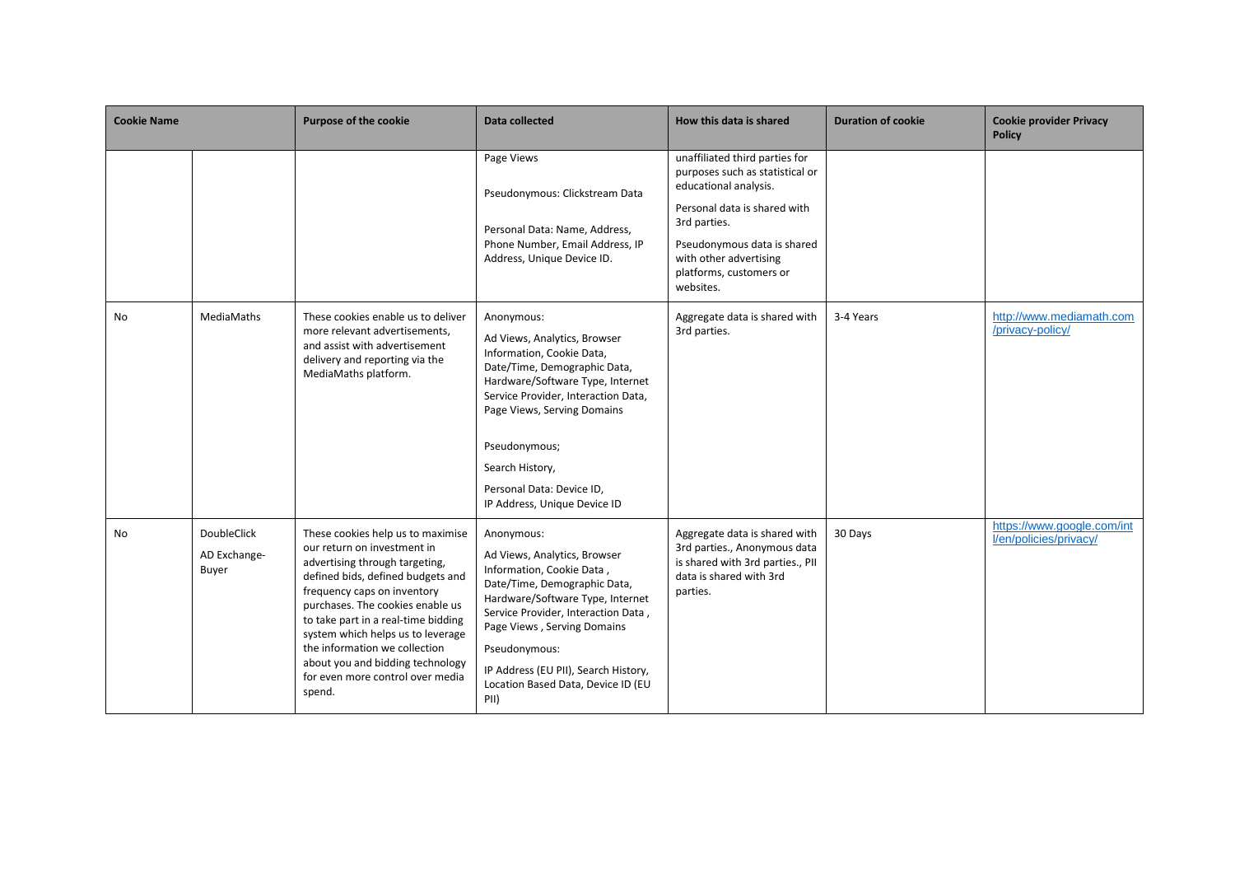| <b>Cookie Name</b> |                                             | <b>Purpose of the cookie</b>                                                                                                                                                                                                                                                                                                                                                                              | Data collected                                                                                                                                                                                                                                                                                                           | How this data is shared                                                                                                                                                                                                                     | <b>Duration of cookie</b> | <b>Cookie provider Privacy</b><br><b>Policy</b>      |
|--------------------|---------------------------------------------|-----------------------------------------------------------------------------------------------------------------------------------------------------------------------------------------------------------------------------------------------------------------------------------------------------------------------------------------------------------------------------------------------------------|--------------------------------------------------------------------------------------------------------------------------------------------------------------------------------------------------------------------------------------------------------------------------------------------------------------------------|---------------------------------------------------------------------------------------------------------------------------------------------------------------------------------------------------------------------------------------------|---------------------------|------------------------------------------------------|
|                    |                                             |                                                                                                                                                                                                                                                                                                                                                                                                           | Page Views<br>Pseudonymous: Clickstream Data<br>Personal Data: Name, Address,<br>Phone Number, Email Address, IP<br>Address, Unique Device ID.                                                                                                                                                                           | unaffiliated third parties for<br>purposes such as statistical or<br>educational analysis.<br>Personal data is shared with<br>3rd parties.<br>Pseudonymous data is shared<br>with other advertising<br>platforms, customers or<br>websites. |                           |                                                      |
| No                 | <b>MediaMaths</b>                           | These cookies enable us to deliver<br>more relevant advertisements,<br>and assist with advertisement<br>delivery and reporting via the<br>MediaMaths platform.                                                                                                                                                                                                                                            | Anonymous:<br>Ad Views, Analytics, Browser<br>Information, Cookie Data,<br>Date/Time, Demographic Data,<br>Hardware/Software Type, Internet<br>Service Provider, Interaction Data,<br>Page Views, Serving Domains<br>Pseudonymous;<br>Search History,<br>Personal Data: Device ID,<br>IP Address, Unique Device ID       | Aggregate data is shared with<br>3rd parties.                                                                                                                                                                                               | 3-4 Years                 | http://www.mediamath.com<br>/privacy-policy/         |
| No                 | <b>DoubleClick</b><br>AD Exchange-<br>Buyer | These cookies help us to maximise<br>our return on investment in<br>advertising through targeting,<br>defined bids, defined budgets and<br>frequency caps on inventory<br>purchases. The cookies enable us<br>to take part in a real-time bidding<br>system which helps us to leverage<br>the information we collection<br>about you and bidding technology<br>for even more control over media<br>spend. | Anonymous:<br>Ad Views, Analytics, Browser<br>Information, Cookie Data,<br>Date/Time, Demographic Data,<br>Hardware/Software Type, Internet<br>Service Provider, Interaction Data,<br>Page Views, Serving Domains<br>Pseudonymous:<br>IP Address (EU PII), Search History,<br>Location Based Data, Device ID (EU<br>PII) | Aggregate data is shared with<br>3rd parties., Anonymous data<br>is shared with 3rd parties., PII<br>data is shared with 3rd<br>parties.                                                                                                    | 30 Days                   | https://www.google.com/int<br>l/en/policies/privacy/ |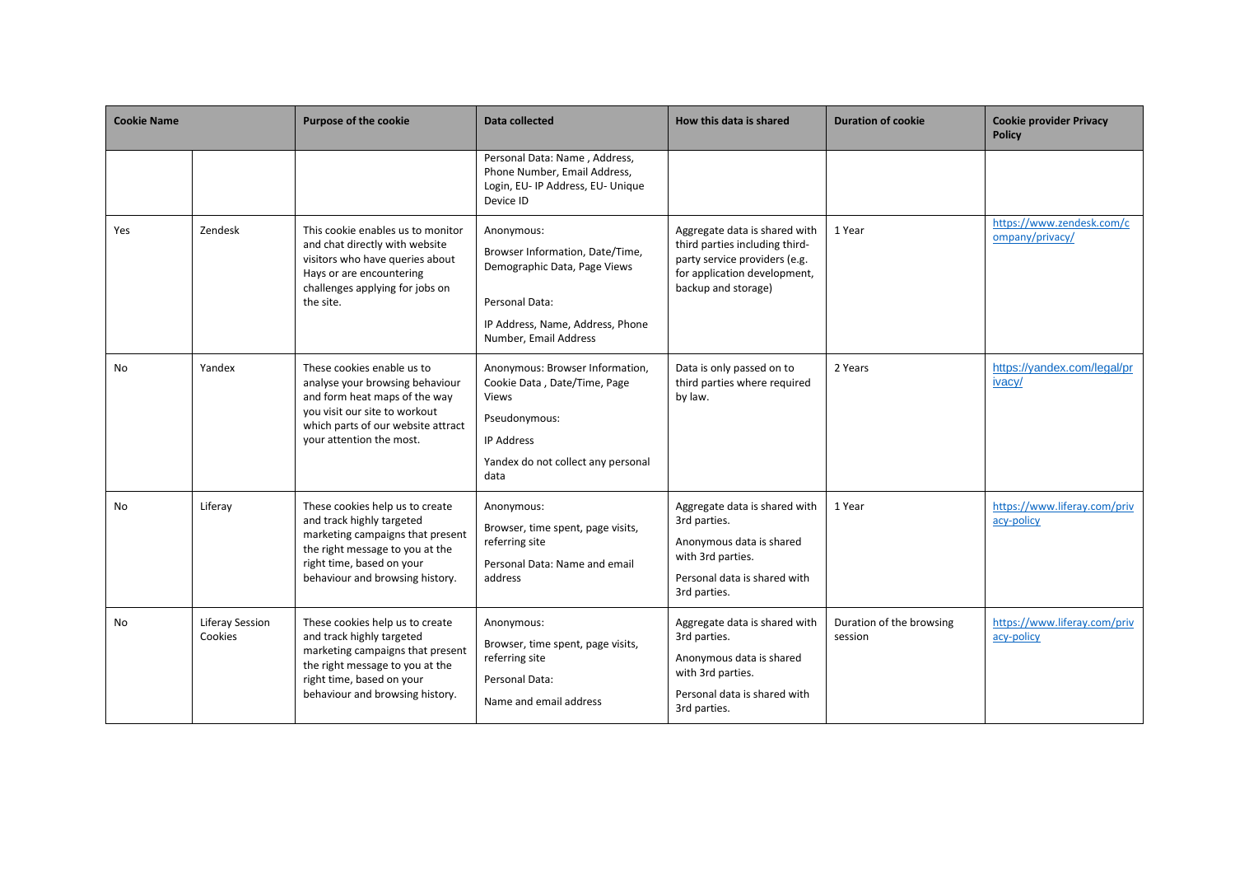| <b>Cookie Name</b> |                            | <b>Purpose of the cookie</b>                                                                                                                                                                        | Data collected                                                                                                                                               | How this data is shared                                                                                                                                 | <b>Duration of cookie</b>           | <b>Cookie provider Privacy</b><br><b>Policy</b> |
|--------------------|----------------------------|-----------------------------------------------------------------------------------------------------------------------------------------------------------------------------------------------------|--------------------------------------------------------------------------------------------------------------------------------------------------------------|---------------------------------------------------------------------------------------------------------------------------------------------------------|-------------------------------------|-------------------------------------------------|
|                    |                            |                                                                                                                                                                                                     | Personal Data: Name, Address,<br>Phone Number, Email Address,<br>Login, EU- IP Address, EU- Unique<br>Device ID                                              |                                                                                                                                                         |                                     |                                                 |
| Yes                | Zendesk                    | This cookie enables us to monitor<br>and chat directly with website<br>visitors who have queries about<br>Hays or are encountering<br>challenges applying for jobs on<br>the site.                  | Anonymous:<br>Browser Information, Date/Time,<br>Demographic Data, Page Views<br>Personal Data:<br>IP Address, Name, Address, Phone<br>Number, Email Address | Aggregate data is shared with<br>third parties including third-<br>party service providers (e.g.<br>for application development,<br>backup and storage) | 1 Year                              | https://www.zendesk.com/c<br>ompany/privacy/    |
| <b>No</b>          | Yandex                     | These cookies enable us to<br>analyse your browsing behaviour<br>and form heat maps of the way<br>you visit our site to workout<br>which parts of our website attract<br>your attention the most.   | Anonymous: Browser Information,<br>Cookie Data, Date/Time, Page<br>Views<br>Pseudonymous:<br><b>IP Address</b><br>Yandex do not collect any personal<br>data | Data is only passed on to<br>third parties where required<br>by law.                                                                                    | 2 Years                             | https://yandex.com/legal/pr<br>ivacy/           |
| No                 | Liferay                    | These cookies help us to create<br>and track highly targeted<br>marketing campaigns that present<br>the right message to you at the<br>right time, based on your<br>behaviour and browsing history. | Anonymous:<br>Browser, time spent, page visits,<br>referring site<br>Personal Data: Name and email<br>address                                                | Aggregate data is shared with<br>3rd parties.<br>Anonymous data is shared<br>with 3rd parties.<br>Personal data is shared with<br>3rd parties.          | 1 Year                              | https://www.liferay.com/priv<br>acy-policy      |
| <b>No</b>          | Liferay Session<br>Cookies | These cookies help us to create<br>and track highly targeted<br>marketing campaigns that present<br>the right message to you at the<br>right time, based on your<br>behaviour and browsing history. | Anonymous:<br>Browser, time spent, page visits,<br>referring site<br>Personal Data:<br>Name and email address                                                | Aggregate data is shared with<br>3rd parties.<br>Anonymous data is shared<br>with 3rd parties.<br>Personal data is shared with<br>3rd parties.          | Duration of the browsing<br>session | https://www.liferay.com/priv<br>acy-policy      |